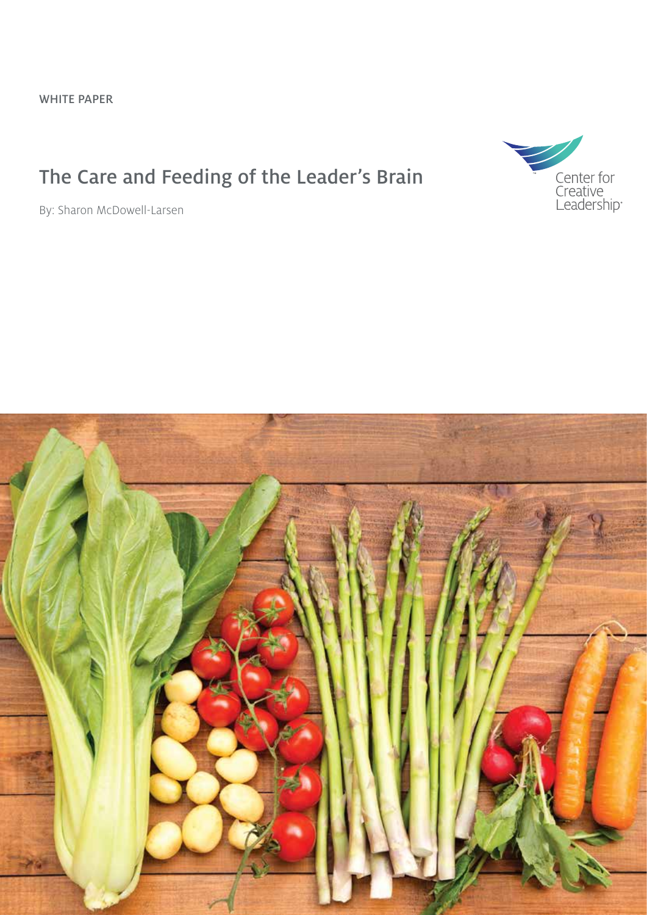### The Care and Feeding of the Leader's Brain





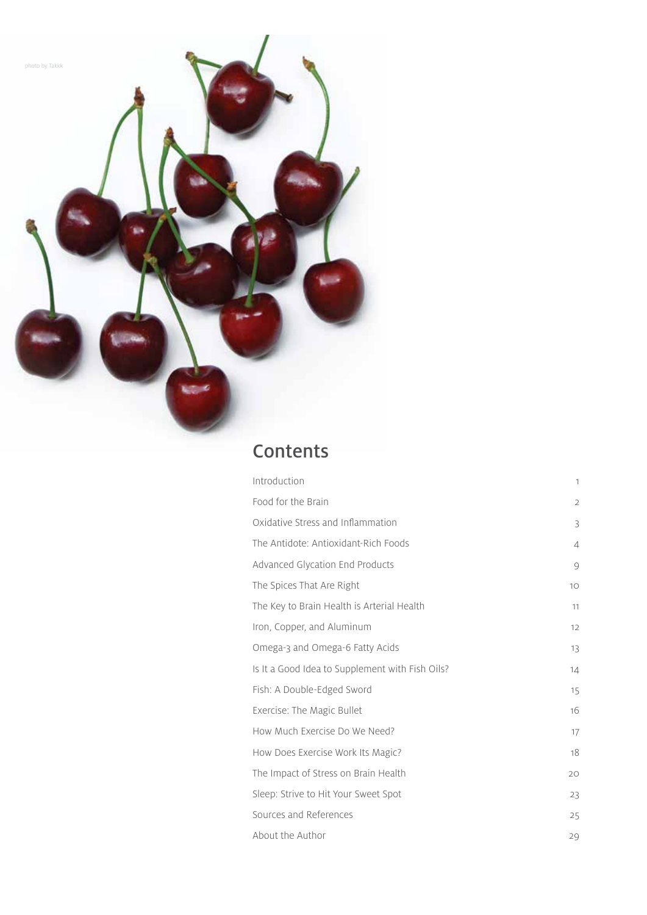

| Introduction                                    | $\mathbf{1}$   |
|-------------------------------------------------|----------------|
| Food for the Brain                              | $\overline{2}$ |
| Oxidative Stress and Inflammation               | 3              |
| The Antidote: Antioxidant-Rich Foods            | 4              |
| Advanced Glycation End Products                 | $\circ$        |
| The Spices That Are Right                       | 10             |
| The Key to Brain Health is Arterial Health      | 11             |
| Iron, Copper, and Aluminum                      | 12             |
| Omega-3 and Omega-6 Fatty Acids                 | 13             |
| Is It a Good Idea to Supplement with Fish Oils? | 14             |
| Fish: A Double-Edged Sword                      | 15             |
| Exercise: The Magic Bullet                      | 16             |
| How Much Exercise Do We Need?                   | 17             |
| How Does Exercise Work Its Magic?               | 18             |
| The Impact of Stress on Brain Health            | 20             |
| Sleep: Strive to Hit Your Sweet Spot            | 23             |
| Sources and References                          | 25             |
| About the Author                                | 29             |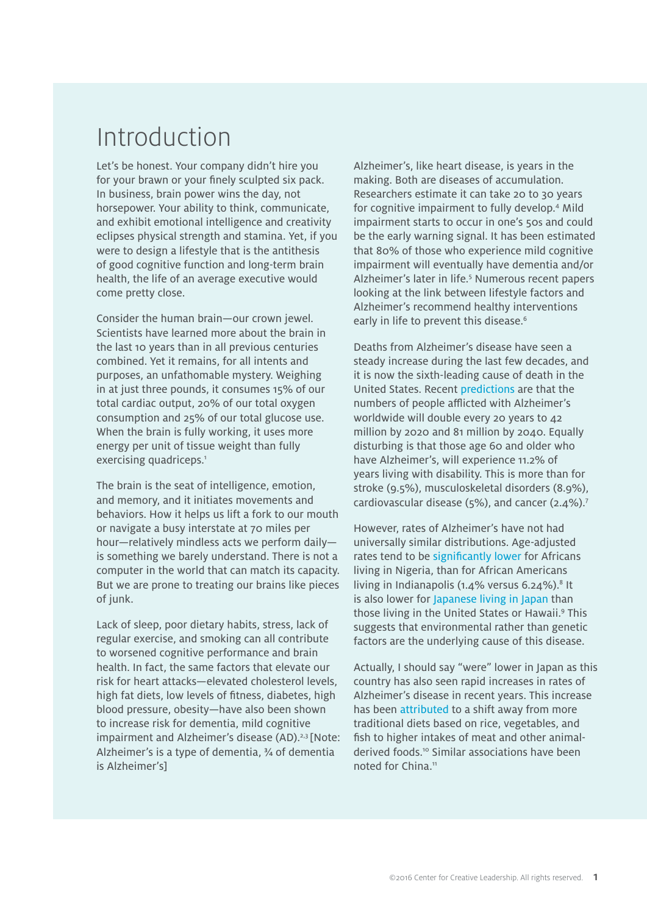### Introduction

Let's be honest. Your company didn't hire you for your brawn or your finely sculpted six pack. In business, brain power wins the day, not horsepower. Your ability to think, communicate, and exhibit emotional intelligence and creativity eclipses physical strength and stamina. Yet, if you were to design a lifestyle that is the antithesis of good cognitive function and long-term brain health, the life of an average executive would come pretty close.

Consider the human brain—our crown jewel. Scientists have learned more about the brain in the last 10 years than in all previous centuries combined. Yet it remains, for all intents and purposes, an unfathomable mystery. Weighing in at just three pounds, it consumes 15% of our total cardiac output, 20% of our total oxygen consumption and 25% of our total glucose use. When the brain is fully working, it uses more energy per unit of tissue weight than fully exercising quadriceps.<sup>1</sup>

The brain is the seat of intelligence, emotion, and memory, and it initiates movements and behaviors. How it helps us lift a fork to our mouth or navigate a busy interstate at 70 miles per hour—relatively mindless acts we perform daily is something we barely understand. There is not a computer in the world that can match its capacity. But we are prone to treating our brains like pieces of junk.

Lack of sleep, poor dietary habits, stress, lack of regular exercise, and smoking can all contribute to worsened cognitive performance and brain health. In fact, the same factors that elevate our risk for heart attacks—elevated cholesterol levels, high fat diets, low levels of fitness, diabetes, high blood pressure, obesity—have also been shown to increase risk for dementia, mild cognitive impairment and Alzheimer's disease (AD).<sup>2,3</sup> [Note: Alzheimer's is a type of dementia, ¾ of dementia is Alzheimer's]

Alzheimer's, like heart disease, is years in the making. Both are diseases of accumulation. Researchers estimate it can take 20 to 30 years for cognitive impairment to fully develop.4 Mild impairment starts to occur in one's 50s and could be the early warning signal. It has been estimated that 80% of those who experience mild cognitive impairment will eventually have dementia and/or Alzheimer's later in life.<sup>5</sup> Numerous recent papers looking at the link between lifestyle factors and Alzheimer's recommend healthy interventions early in life to prevent this disease.<sup>6</sup>

Deaths from Alzheimer's disease have seen a steady increase during the last few decades, and it is now the sixth-leading cause of death in the United States. Recent [predictions](http://www.ncbi.nlm.nih.gov/pmc/articles/PMC2850264/) are that the numbers of people afflicted with Alzheimer's worldwide will double every 20 years to 42 million by 2020 and 81 million by 2040. Equally disturbing is that those age 60 and older who have Alzheimer's, will experience 11.2% of years living with disability. This is more than for stroke (9.5%), musculoskeletal disorders (8.9%), cardiovascular disease (5%), and cancer (2.4%).7

However, rates of Alzheimer's have not had universally similar distributions. Age-adjusted rates tend to be [significantly](http://www.ncbi.nlm.nih.gov/pubmed/11176911) lower for Africans living in Nigeria, than for African Americans living in Indianapolis ( $1.4\%$  versus 6.24%).<sup>8</sup> It is also lower for [Japanese](http://www.sunarc.org/JAD97.pdf) living in Japan than those living in the United States or Hawaii.<sup>9</sup> This suggests that environmental rather than genetic factors are the underlying cause of this disease.

Actually, I should say "were" lower in Japan as this country has also seen rapid increases in rates of Alzheimer's disease in recent years. This increase has been attributed to a shift away from more traditional diets based on rice, vegetables, and fish to higher intakes of meat and other animalderived foods.10 Similar associations have been noted for China.<sup>11</sup>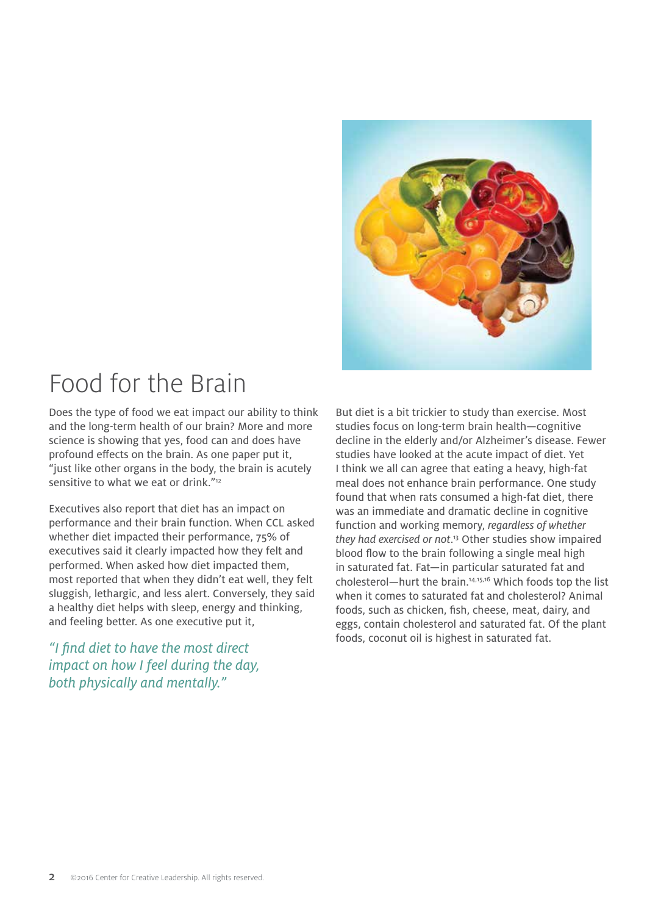

# Food for the Brain

Does the type of food we eat impact our ability to think and the long-term health of our brain? More and more science is showing that yes, food can and does have profound effects on the brain. As one paper put it, "just like other organs in the body, the brain is acutely sensitive to what we eat or drink."<sup>12</sup>

Executives also report that diet has an impact on performance and their brain function. When CCL asked whether diet impacted their performance, 75% of executives said it clearly impacted how they felt and performed. When asked how diet impacted them, most reported that when they didn't eat well, they felt sluggish, lethargic, and less alert. Conversely, they said a healthy diet helps with sleep, energy and thinking, and feeling better. As one executive put it,

*"I find diet to have the most direct impact on how I feel during the day, both physically and mentally."*

But diet is a bit trickier to study than exercise. Most studies focus on long-term brain health—cognitive decline in the elderly and/or Alzheimer's disease. Fewer studies have looked at the acute impact of diet. Yet I think we all can agree that eating a heavy, high-fat meal does not enhance brain performance. One study found that when rats consumed a high-fat diet, there was an immediate and dramatic decline in cognitive function and working memory, *regardless of whether they had exercised or not*. 13 Other studies show impaired blood flow to the brain following a single meal high in saturated fat. Fat—in particular saturated fat and cholesterol—hurt the brain.14,15,16 Which foods top the list when it comes to saturated fat and cholesterol? Animal foods, such as chicken, fish, cheese, meat, dairy, and eggs, contain cholesterol and saturated fat. Of the plant foods, coconut oil is highest in saturated fat.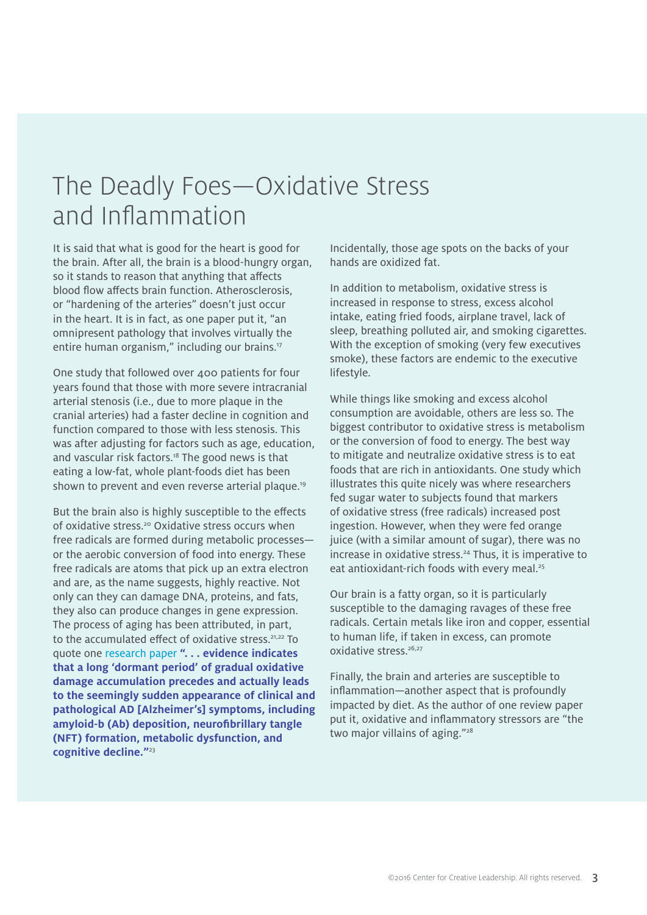### The Deadly Foes—Oxidative Stress and Inflammation

It is said that what is good for the heart is good for the brain. After all, the brain is a blood-hungry organ, so it stands to reason that anything that affects blood flow affects brain function. Atherosclerosis, or "hardening of the arteries" doesn't just occur in the heart. It is in fact, as one paper put it, "an omnipresent pathology that involves virtually the entire human organism," including our brains.17

One study that followed over 400 patients for four years found that those with more severe intracranial arterial stenosis (i.e., due to more plaque in the cranial arteries) had a faster decline in cognition and function compared to those with less stenosis. This was after adjusting for factors such as age, education, and vascular risk factors.<sup>18</sup> The good news is that eating a low-fat, whole plant-foods diet has been shown to prevent and even reverse arterial plaque.<sup>19</sup>

But the brain also is highly susceptible to the effects of oxidative stress.<sup>20</sup> Oxidative stress occurs when free radicals are formed during metabolic processes or the aerobic conversion of food into energy. These free radicals are atoms that pick up an extra electron and are, as the name suggests, highly reactive. Not only can they can damage DNA, proteins, and fats, they also can produce changes in gene expression. The process of aging has been [attributed,](http://www.ncbi.nlm.nih.gov/pubmed/20394761) in part, to the accumulated effect of oxidative stress.<sup>21,22</sup> To quote one [research paper](http://www.ncbi.nlm.nih.gov/pubmed/20394761) **". . . evidence indicates that a long 'dormant period' of gradual oxidative damage accumulation precedes and actually leads to the seemingly sudden appearance of clinical and pathological AD [Alzheimer's] symptoms, including amyloid-b (Ab) deposition, neurofibrillary tangle (NFT) formation, metabolic dysfunction, and cognitive decline."**<sup>23</sup>

Incidentally, those age spots on the backs of your hands are oxidized fat.

In addition to metabolism, oxidative stress is increased in response to stress, excess alcohol intake, eating fried foods, airplane travel, lack of sleep, breathing polluted air, and smoking cigarettes. With the exception of smoking (very few executives smoke), these factors are endemic to the executive lifestyle.

While things like smoking and excess alcohol consumption are avoidable, others are less so. The biggest contributor to oxidative stress is metabolism or the conversion of food to energy. The best way to mitigate and neutralize oxidative stress is to eat foods that are rich in antioxidants. One study which illustrates this quite nicely was where researchers fed sugar water to subjects found that markers of oxidative stress (free radicals) increased post ingestion. However, when they were fed orange juice (with a similar amount of sugar), there was no increase in oxidative stress.<sup>24</sup> Thus, it is imperative to eat antioxidant-rich foods with every meal.<sup>25</sup>

Our brain is a fatty organ, so it is particularly susceptible to the damaging ravages of these free radicals. Certain metals like iron and copper, essential to human life, if taken in excess, can promote oxidative stress.<sup>26,27</sup>

Finally, the brain and arteries are susceptible to inflammation—another aspect that is profoundly impacted by diet. As the author of one review paper put it, oxidative and inflammatory stressors are "the two major villains of aging."<sup>28</sup>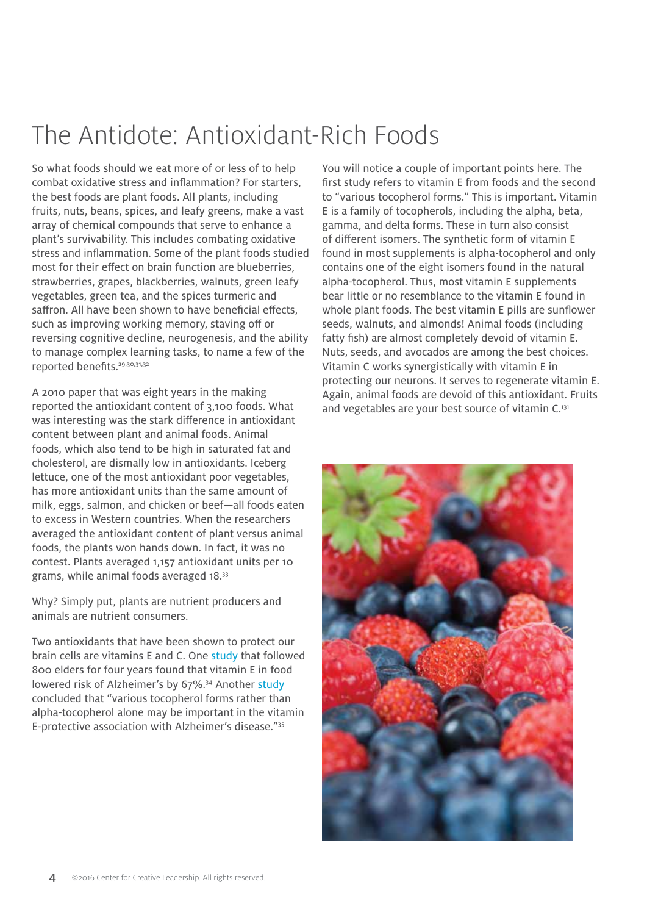# The Antidote: Antioxidant-Rich Foods

So what foods should we eat more of or less of to help combat oxidative stress and inflammation? For starters, the best foods are plant foods. All plants, including fruits, nuts, beans, spices, and leafy greens, make a vast array of chemical compounds that serve to enhance a plant's survivability. This includes combating oxidative stress and inflammation. Some of the plant foods studied most for their effect on brain function are blueberries, strawberries, grapes, blackberries, walnuts, green leafy vegetables, green tea, and the spices turmeric and saffron. All have been shown to have beneficial effects, such as improving working memory, staving off or reversing cognitive decline, neurogenesis, and the ability to manage complex learning tasks, to name a few of the reported benefits.<sup>29,30,31,32</sup>

A 2010 paper that was eight years in the making reported the antioxidant content of 3,100 foods. What was interesting was the stark difference in antioxidant content between plant and animal foods. Animal foods, which also tend to be high in saturated fat and cholesterol, are dismally low in antioxidants. Iceberg lettuce, one of the most antioxidant poor vegetables, has more antioxidant units than the same amount of milk, eggs, salmon, and chicken or beef—all foods eaten to excess in Western countries. When the researchers averaged the antioxidant content of plant versus animal foods, the plants won hands down. In fact, it was no contest. Plants averaged 1,157 antioxidant units per 10 grams, while animal foods averaged 18.33

Why? Simply put, plants are nutrient producers and animals are nutrient consumers.

Two antioxidants that have been shown to protect our brain cells are vitamins E and C. One [study](http://www.ncbi.nlm.nih.gov/pubmed/12076219) that followed 800 elders for four years found that vitamin E in food lowered risk of Alzheimer's by 67%.<sup>34</sup> Another [study](http://www.ncbi.nlm.nih.gov/pubmed/20413888) concluded that "various tocopherol forms rather than alpha-tocopherol alone may be important in the vitamin E-protective association with Alzheimer's disease."35

You will notice a couple of important points here. The first study refers to vitamin E from foods and the second to "various tocopherol forms." This is important. Vitamin E is a family of tocopherols, including the alpha, beta, gamma, and delta forms. These in turn also consist of different isomers. The synthetic form of vitamin E found in most supplements is alpha-tocopherol and only contains one of the eight isomers found in the natural alpha-tocopherol. Thus, most vitamin E supplements bear little or no resemblance to the vitamin E found in whole plant foods. The best vitamin E pills are sunflower seeds, walnuts, and almonds! Animal foods (including fatty fish) are almost completely devoid of vitamin E. Nuts, seeds, and avocados are among the best choices. Vitamin C works synergistically with vitamin E in protecting our neurons. It serves to regenerate vitamin E. Again, animal foods are devoid of this antioxidant. Fruits and vegetables are your best source of vitamin C.<sup>131</sup>

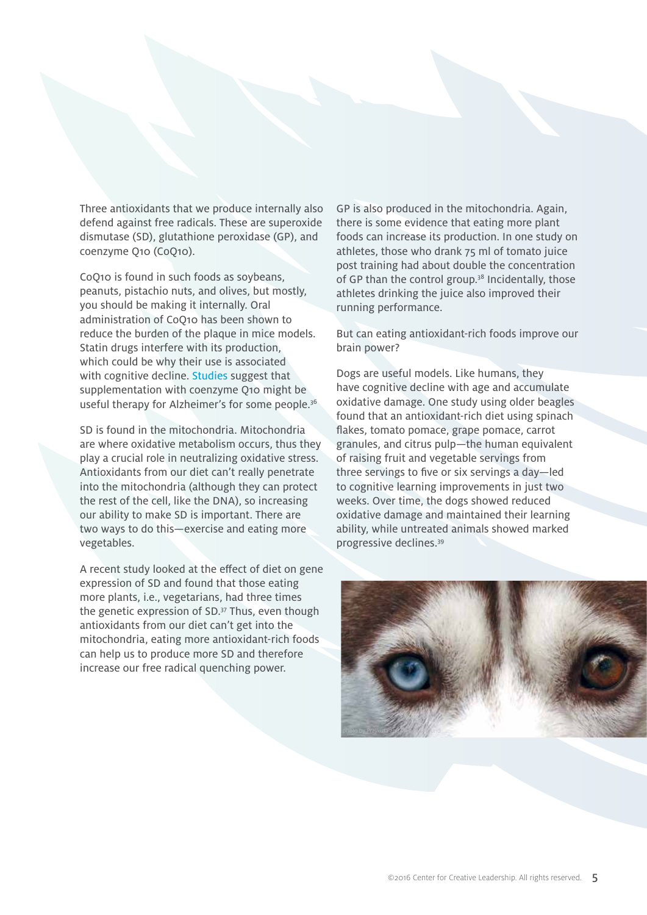Three antioxidants that we produce internally also defend against free radicals. These are superoxide dismutase (SD), glutathione peroxidase (GP), and coenzyme Q10 (CoQ10).

CoQ10 is found in such foods as soybeans, peanuts, pistachio nuts, and olives, but mostly, you should be making it internally. Oral administration of CoQ10 has been shown to reduce the burden of the plaque in mice models. Statin drugs interfere with its production, which could be why their use is associated with cognitive decline. [Studies](http://www.ncbi.nlm.nih.gov/pubmed/18181031) suggest that supplementation with coenzyme Q10 might be useful therapy for Alzheimer's for some people.<sup>36</sup>

SD is found in the mitochondria. Mitochondria are where oxidative metabolism occurs, thus they play a crucial role in neutralizing oxidative stress. Antioxidants from our diet can't really penetrate into the mitochondria (although they can protect the rest of the cell, like the DNA), so increasing our ability to make SD is important. There are two ways to do this—exercise and eating more vegetables.

A recent study looked at the effect of diet on gene expression of SD and found that those eating more plants, i.e., vegetarians, had three times the genetic expression of SD.37 Thus, even though antioxidants from our diet can't get into the mitochondria, eating more antioxidant-rich foods can help us to produce more SD and therefore increase our free radical quenching power.

GP is also produced in the mitochondria. Again, there is some evidence that eating more plant foods can increase its production. In one study on athletes, those who drank 75 ml of tomato juice post training had about double the concentration of GP than the control group.<sup>38</sup> Incidentally, those athletes drinking the juice also improved their running performance.

But can eating antioxidant-rich foods improve our brain power?

Dogs are useful models. Like humans, they have cognitive decline with age and accumulate oxidative damage. One study using older beagles found that an antioxidant-rich diet using spinach flakes, tomato pomace, grape pomace, carrot granules, and citrus pulp—the human equivalent of raising fruit and vegetable servings from three servings to five or six servings a day—led to cognitive learning improvements in just two weeks. Over time, the dogs showed reduced oxidative damage and maintained their learning ability, while untreated animals showed marked progressive declines.39

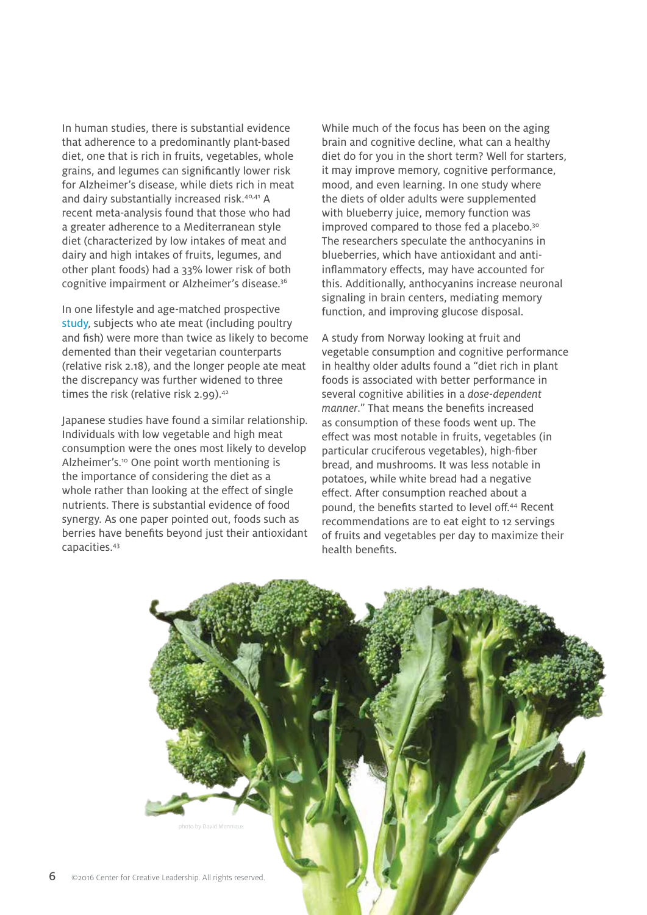In human studies, there is substantial evidence that adherence to a predominantly plant-based diet, one that is rich in fruits, vegetables, whole grains, and legumes can significantly lower risk for Alzheimer's disease, while diets rich in meat and dairy substantially increased risk.40,41 A recent meta-analysis found that those who had a greater adherence to a Mediterranean style diet (characterized by low intakes of meat and dairy and high intakes of fruits, legumes, and other plant foods) had a 33% lower risk of both cognitive impairment or Alzheimer's disease.36

In one lifestyle and age-matched prospective [study,](http://www.ncbi.nlm.nih.gov/pubmed/8327020) subjects who ate meat (including poultry and fish) were more than twice as likely to become demented than their vegetarian counterparts (relative risk 2.18), and the longer people ate meat the discrepancy was further widened to three times the risk (relative risk 2.99).<sup>42</sup>

Japanese studies have found a similar relationship. Individuals with low vegetable and high meat consumption were the ones most likely to develop Alzheimer's.<sup>10</sup> One point worth mentioning is the importance of considering the diet as a whole rather than looking at the effect of single nutrients. There is substantial evidence of food synergy. As one paper pointed out, foods such as berries have benefits beyond just their antioxidant capacities.43

While much of the focus has been on the aging brain and cognitive decline, what can a healthy diet do for you in the short term? Well for starters, it may improve memory, cognitive performance, mood, and even learning. In one study where the diets of older adults were supplemented with blueberry juice, memory function was improved compared to those fed a placebo.<sup>30</sup> The researchers speculate the anthocyanins in blueberries, which have antioxidant and antiinflammatory effects, may have accounted for this. Additionally, anthocyanins increase neuronal signaling in brain centers, mediating memory function, and improving glucose disposal.

A study from Norway looking at fruit and vegetable consumption and cognitive performance in healthy older adults found a "diet rich in plant foods is associated with better performance in several cognitive abilities in a *dose-dependent manner*." That means the benefits increased as consumption of these foods went up. The effect was most notable in fruits, vegetables (in particular cruciferous vegetables), high-fiber bread, and mushrooms. It was less notable in potatoes, while white bread had a negative effect. After consumption reached about a pound, the benefits started to level off.44 Recent recommendations are to eat eight to 12 servings of fruits and vegetables per day to maximize their health benefits.

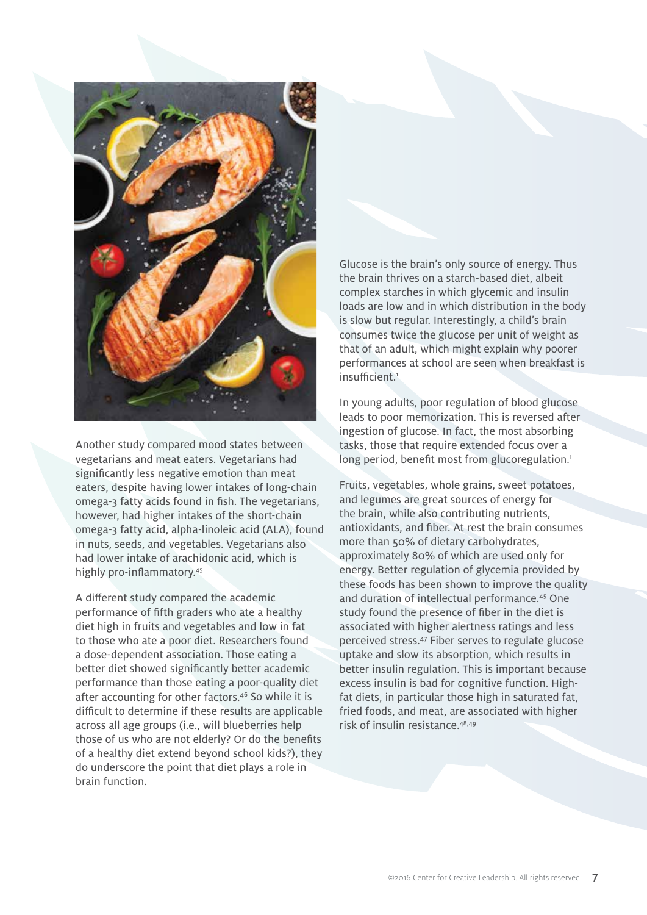

Another study compared mood states between vegetarians and meat eaters. Vegetarians had significantly less negative emotion than meat eaters, despite having lower intakes of long-chain omega-3 fatty acids found in fish. The vegetarians, however, had higher intakes of the short-chain omega-3 fatty acid, alpha-linoleic acid (ALA), found in nuts, seeds, and vegetables. Vegetarians also had lower intake of arachidonic acid, which is highly pro-inflammatory.<sup>45</sup>

A different study compared the academic performance of fifth graders who ate a healthy diet high in fruits and vegetables and low in fat to those who ate a poor diet. Researchers found a dose-dependent association. Those eating a better diet showed significantly better academic performance than those eating a poor-quality diet after accounting for other factors.46 So while it is difficult to determine if these results are applicable across all age groups (i.e., will blueberries help those of us who are not elderly? Or do the benefits of a healthy diet extend beyond school kids?), they do underscore the point that diet plays a role in brain function.

Glucose is the brain's only source of energy. Thus the brain thrives on a starch-based diet, albeit complex starches in which glycemic and insulin loads are low and in which distribution in the body is slow but regular. Interestingly, a child's brain consumes twice the glucose per unit of weight as that of an adult, which might explain why poorer performances at school are seen when breakfast is insufficient.1

In young adults, poor regulation of blood glucose leads to poor memorization. This is reversed after ingestion of glucose. In fact, the most absorbing tasks, those that require extended focus over a long period, benefit most from glucoregulation.<sup>1</sup>

Fruits, vegetables, whole grains, sweet potatoes, and legumes are great sources of energy for the brain, while also contributing nutrients, antioxidants, and fiber. At rest the brain consumes more than 50% of dietary carbohydrates, approximately 80% of which are used only for energy. Better regulation of glycemia provided by these foods has been shown to improve the quality and duration of intellectual performance.45 One study found the presence of fiber in the diet is associated with higher alertness ratings and less perceived stress.47 Fiber serves to regulate glucose uptake and slow its absorption, which results in better insulin regulation. This is important because excess insulin is bad for cognitive function. Highfat diets, in particular those high in saturated fat, fried foods, and meat, are associated with higher risk of insulin resistance.48,49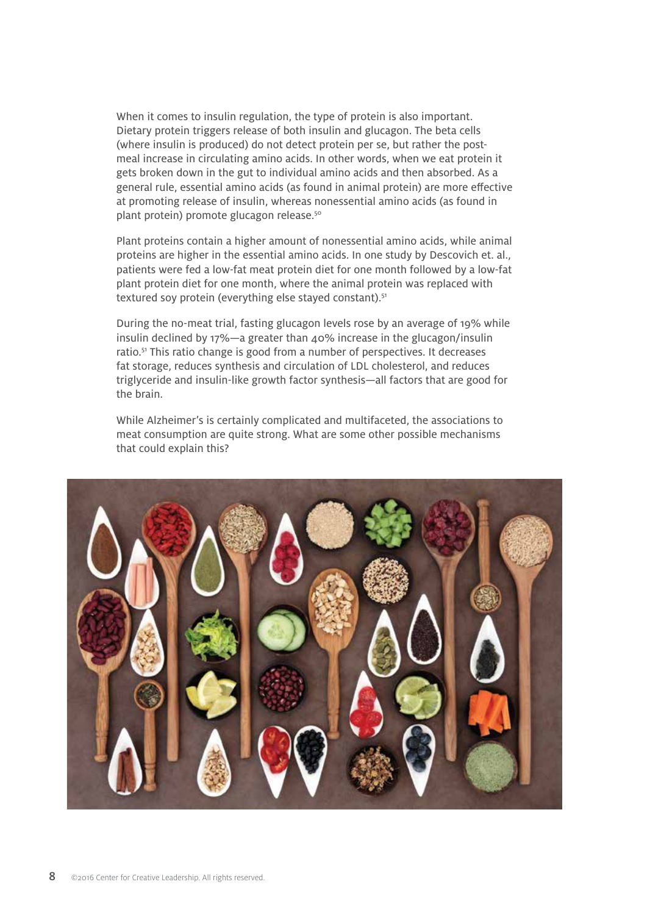When it comes to insulin regulation, the type of protein is also important. Dietary protein triggers release of both insulin and glucagon. The beta cells (where insulin is produced) do not detect protein per se, but rather the postmeal increase in circulating amino acids. In other words, when we eat protein it gets broken down in the gut to individual amino acids and then absorbed. As a general rule, essential amino acids (as found in animal protein) are more effective at promoting release of insulin, whereas nonessential amino acids (as found in plant protein) promote glucagon release.<sup>50</sup>

Plant proteins contain a higher amount of nonessential amino acids, while animal proteins are higher in the essential amino acids. In one study by Descovich et. al., patients were fed a low-fat meat protein diet for one month followed by a low-fat plant protein diet for one month, where the animal protein was replaced with textured soy protein (everything else stayed constant).<sup>51</sup>

During the no-meat trial, fasting glucagon levels rose by an average of 19% while insulin declined by 17%—a greater than 40% increase in the glucagon/insulin ratio.<sup>51</sup> This ratio change is good from a number of perspectives. It decreases fat storage, reduces synthesis and circulation of LDL cholesterol, and reduces triglyceride and insulin-like growth factor synthesis—all factors that are good for the brain.

While Alzheimer's is certainly complicated and multifaceted, the associations to meat consumption are quite strong. What are some other possible mechanisms that could explain this?

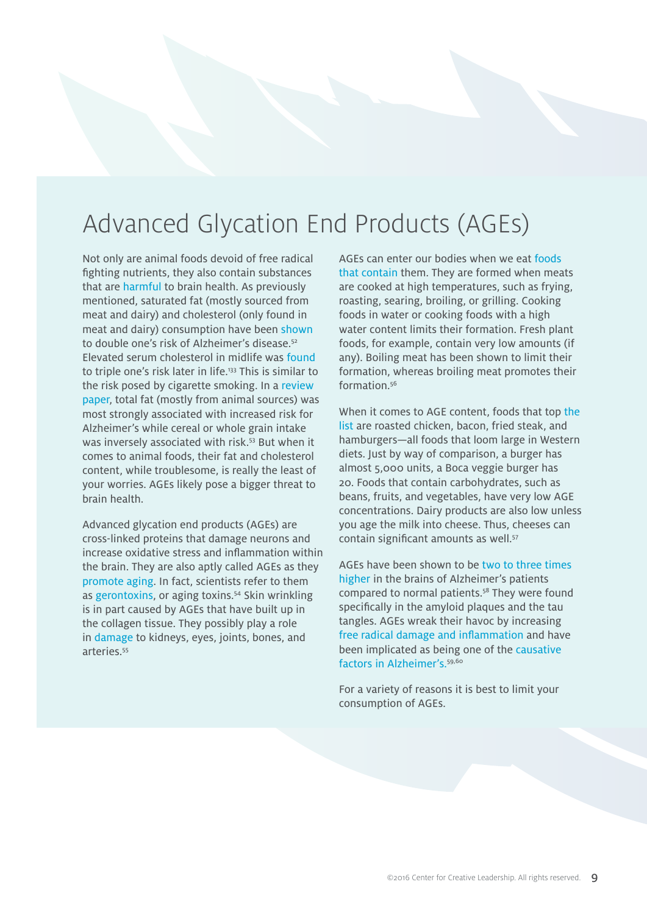### Advanced Glycation End Products (AGEs)

Not only are animal foods devoid of free radical fighting nutrients, they also contain substances that are [harmful](http://www.ncbi.nlm.nih.gov/pubmed/16257476) to brain health. As previously mentioned, saturated fat (mostly sourced from meat and dairy) and cholesterol (only found in meat and dairy) consumption have been [shown](http://www.ncbi.nlm.nih.gov/pubmed/12580703) to double one's risk of Alzheimer's disease.52 Elevated serum cholesterol in midlife was [found](http://www.ncbi.nlm.nih.gov/pubmed/19648749) to triple one's risk later in life.<sup>133</sup> This is similar to the risk posed by cigarette smoking. In a [review](http://iospress.metapress.com/content/gd9wxd5kx3hcymk4/?genre=article&issn=1387-2877&volume=1&issue=4&spage=197) [paper,](http://iospress.metapress.com/content/gd9wxd5kx3hcymk4/?genre=article&issn=1387-2877&volume=1&issue=4&spage=197) total fat (mostly from animal sources) was most strongly associated with increased risk for Alzheimer's while cereal or whole grain intake was inversely associated with risk.<sup>53</sup> But when it comes to animal foods, their fat and cholesterol content, while troublesome, is really the least of your worries. AGEs likely pose a bigger threat to brain health.

Advanced glycation end products (AGEs) are cross-linked proteins that damage neurons and increase oxidative stress and inflammation within the brain. They are also aptly called AGEs as they [promote](http://www.ncbi.nlm.nih.gov/pmc/articles/PMC2920582/pdf/glq074.pdf) aging. In fact, scientists refer to them as [gerontoxins,](http://www.ncbi.nlm.nih.gov/pubmed/%2020211718) or aging toxins.54 Skin wrinkling is in part caused by AGEs that have built up in the collagen tissue. They possibly play a role in [damage](http://nutritionfacts.org/video/glycotoxins/) to kidneys, eyes, joints, bones, and arteries.<sup>55</sup>

AGEs can enter our bodies when we eat [foods](http://www.ncbi.nlm.nih.gov/pmc/articles/PMC3704564/pdf/nihms482555.pdf) that [contain](http://www.ncbi.nlm.nih.gov/pmc/articles/PMC3704564/pdf/nihms482555.pdf) them. They are formed when meats are cooked at high temperatures, such as frying, roasting, searing, broiling, or grilling. Cooking foods in water or cooking foods with a high water content limits their formation. Fresh plant foods, for example, contain very low amounts (if any). Boiling meat has been shown to limit their formation, whereas broiling meat promotes their formation<sup>56</sup>

When it comes to AGE content, foods that top [the](http://www.ncbi.nlm.nih.gov/pmc/articles/PMC3704564/pdf/nihms482555.pdf) [list](http://www.ncbi.nlm.nih.gov/pmc/articles/PMC3704564/pdf/nihms482555.pdf) are roasted chicken, bacon, fried steak, and hamburgers—all foods that loom large in Western diets. Just by way of comparison, a burger has almost 5,000 units, a Boca veggie burger has 20. Foods that contain carbohydrates, such as beans, fruits, and vegetables, have very low AGE concentrations. Dairy products are also low unless you age the milk into cheese. Thus, cheeses can contain significant amounts as well.<sup>57</sup>

AGEs have been shown to be two to three time[s](http://www.ncbi.nlm.nih.gov/pubmed/15238435)  [higher](http://www.ncbi.nlm.nih.gov/pubmed/15238435) in the brains of Alzheimer's patients compared to normal patients.58 They were found specifically in the amyloid plaques and the tau tangles. AGEs wreak their havoc by increasing [free radical damage and inflammation](http://www.ncbi.nlm.nih.gov/pubmed/17712153) and have been implicated as being one of the [causative](https://www.researchgate.net/publication/228742524_Amplifiers_of_Systemic_Inflammation-The_Role_Advanced_Glycation_and_and_Lipoxidation_End_Products_in_Foods)  [factors in A](https://www.researchgate.net/publication/228742524_Amplifiers_of_Systemic_Inflammation-The_Role_Advanced_Glycation_and_and_Lipoxidation_End_Products_in_Foods)lzheimer's.<sup>59,60</sup>

For a variety of reasons it is best to limit your consumption of AGEs.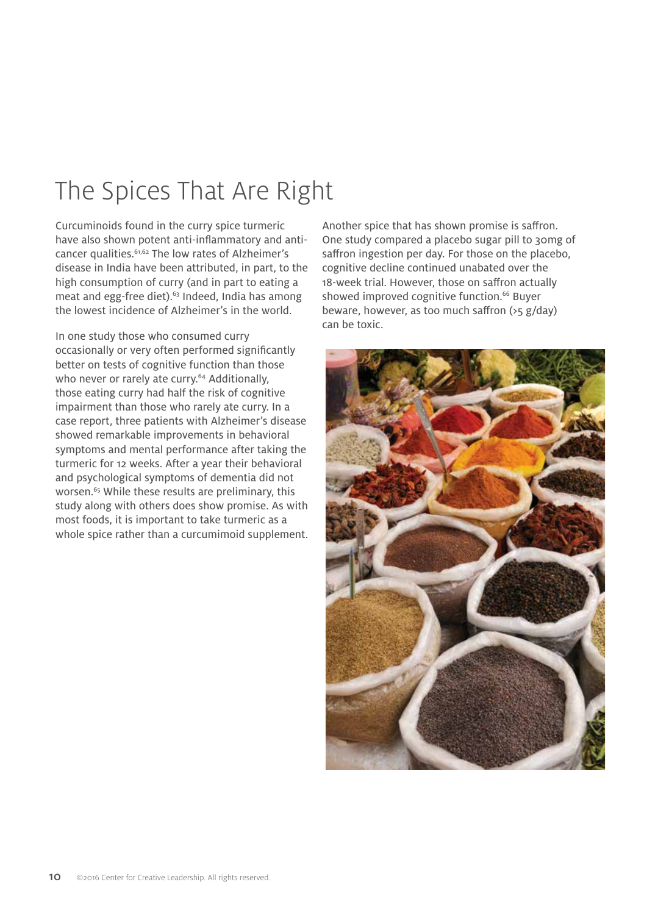# The Spices That Are Right

Curcuminoids found in the curry spice turmeric have also shown potent anti-inflammatory and anticancer qualities.61,62 The low rates of Alzheimer's disease in India have been attributed, in part, to the high consumption of curry (and in part to eating a meat and egg-free diet).<sup>63</sup> Indeed, India has among the lowest incidence of Alzheimer's in the world.

In one study those who consumed curry occasionally or very often performed significantly better on tests of cognitive function than those who never or rarely ate curry.<sup>64</sup> Additionally, those eating curry had half the risk of cognitive impairment than those who rarely ate curry. In a case report, three patients with Alzheimer's disease showed remarkable improvements in behavioral symptoms and mental performance after taking the turmeric for 12 weeks. After a year their behavioral and psychological symptoms of dementia did not worsen.<sup>65</sup> While these results are preliminary, this study along with others does show promise. As with most foods, it is important to take turmeric as a whole spice rather than a curcumimoid supplement.

Another spice that has shown promise is saffron. One study compared a placebo sugar pill to 30mg of saffron ingestion per day. For those on the placebo, cognitive decline continued unabated over the 18-week trial. However, those on saffron actually showed improved cognitive function.<sup>66</sup> Buyer beware, however, as too much saffron (>5 g/day) can be toxic.

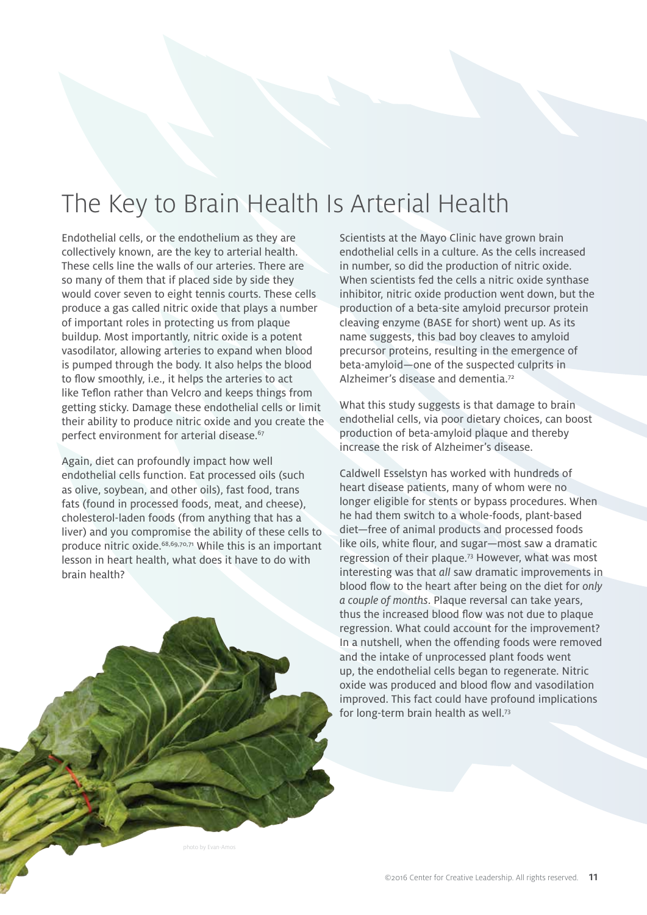# The Key to Brain Health Is Arterial Health

Endothelial cells, or the endothelium as they are collectively known, are the key to arterial health. These cells line the walls of our arteries. There are so many of them that if placed side by side they would cover seven to eight tennis courts. These cells produce a gas called nitric oxide that plays a number of important roles in protecting us from plaque buildup. Most importantly, nitric oxide is a potent vasodilator, allowing arteries to expand when blood is pumped through the body. It also helps the blood to flow smoothly, i.e., it helps the arteries to act like Teflon rather than Velcro and keeps things from getting sticky. Damage these endothelial cells or limit their ability to produce nitric oxide and you create the perfect environment for arterial disease.<sup>67</sup>

Again, diet can profoundly impact how well endothelial cells function. Eat processed oils (such as olive, soybean, and other oils), fast food, trans fats (found in processed foods, meat, and cheese), cholesterol-laden foods (from anything that has a liver) and you compromise the ability of these cells to produce nitric oxide.68,69,70,71 While this is an important lesson in heart health, what does it have to do with brain health?

Scientists at the Mayo Clinic have grown brain endothelial cells in a culture. As the cells increased in number, so did the production of nitric oxide. When scientists fed the cells a nitric oxide synthase inhibitor, nitric oxide production went down, but the production of a beta-site amyloid precursor protein cleaving enzyme (BASE for short) went up. As its name suggests, this bad boy cleaves to amyloid precursor proteins, resulting in the emergence of beta-amyloid—one of the suspected culprits in Alzheimer's disease and dementia.<sup>72</sup>

What this study suggests is that damage to brain endothelial cells, via poor dietary choices, can boost production of beta-amyloid plaque and thereby increase the risk of Alzheimer's disease.

Caldwell Esselstyn has worked with hundreds of heart disease patients, many of whom were no longer eligible for stents or bypass procedures. When he had them switch to a whole-foods, plant-based diet—free of animal products and processed foods like oils, white flour, and sugar—most saw a dramatic regression of their plaque.73 However, what was most interesting was that *all* saw dramatic improvements in blood flow to the heart after being on the diet for *only a couple of months*. Plaque reversal can take years, thus the increased blood flow was not due to plaque regression. What could account for the improvement? In a nutshell, when the offending foods were removed and the intake of unprocessed plant foods went up, the endothelial cells began to regenerate. Nitric oxide was produced and blood flow and vasodilation improved. This fact could have profound implications for long-term brain health as well.73

photo by Evan-Amos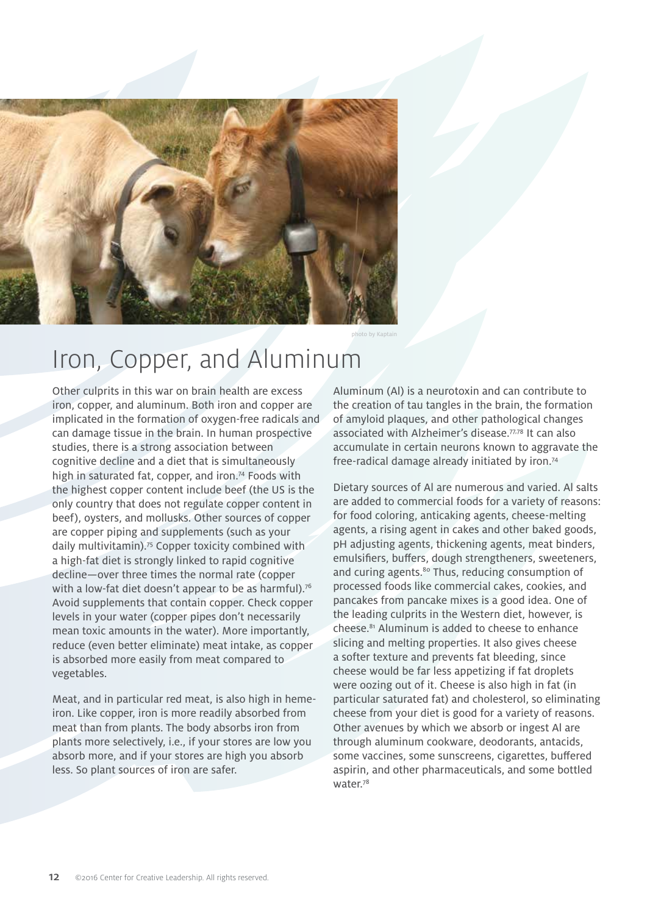

photo by Kaptain

## Iron, Copper, and Aluminum

Other culprits in this war on brain health are excess iron, copper, and aluminum. Both iron and copper are implicated in the formation of oxygen-free radicals and can damage tissue in the brain. In human prospective studies, there is a strong association between cognitive decline and a diet that is simultaneously high in saturated fat, copper, and iron.<sup>74</sup> Foods with the highest copper content include beef (the US is the only country that does not regulate copper content in beef), oysters, and mollusks. Other sources of copper are copper piping and supplements (such as your daily multivitamin).75 Copper toxicity combined with a high-fat diet is strongly linked to rapid cognitive decline—over three times the normal rate (copper with a low-fat diet doesn't appear to be as harmful).<sup>76</sup> Avoid supplements that contain copper. Check copper levels in your water (copper pipes don't necessarily mean toxic amounts in the water). More importantly, reduce (even better eliminate) meat intake, as copper is absorbed more easily from meat compared to vegetables.

Meat, and in particular red meat, is also high in hemeiron. Like copper, iron is more readily absorbed from meat than from plants. The body absorbs iron from plants more selectively, i.e., if your stores are low you absorb more, and if your stores are high you absorb less. So plant sources of iron are safer.

Aluminum (Al) is a neurotoxin and can contribute to the creation of tau tangles in the brain, the formation of amyloid plaques, and other pathological changes associated with Alzheimer's disease.77,78 It can also accumulate in certain neurons known to aggravate the free-radical damage already initiated by iron.74

Dietary sources of Al are numerous and varied. Al salts are added to commercial foods for a variety of reasons: for food coloring, anticaking agents, cheese-melting agents, a rising agent in cakes and other baked goods, pH adjusting agents, thickening agents, meat binders, emulsifiers, buffers, dough strengtheners, sweeteners, and curing agents.<sup>80</sup> Thus, reducing consumption of processed foods like commercial cakes, cookies, and pancakes from pancake mixes is a good idea. One of the leading culprits in the Western diet, however, is cheese.81 Aluminum is added to cheese to enhance slicing and melting properties. It also gives cheese a softer texture and prevents fat bleeding, since cheese would be far less appetizing if fat droplets were oozing out of it. Cheese is also high in fat (in particular saturated fat) and cholesterol, so eliminating cheese from your diet is good for a variety of reasons. Other avenues by which we absorb or ingest Al are through aluminum cookware, deodorants, antacids, some vaccines, some sunscreens, cigarettes, buffered aspirin, and other pharmaceuticals, and some bottled water.78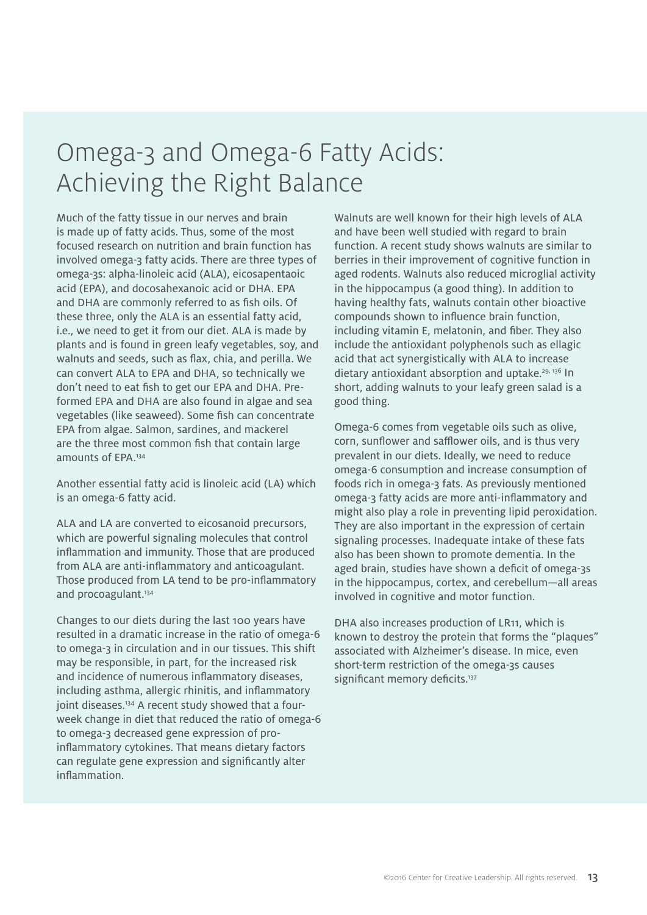### Omega-3 and Omega-6 Fatty Acids: Achieving the Right Balance

Much of the fatty tissue in our nerves and brain is made up of fatty acids. Thus, some of the most focused research on nutrition and brain function has involved omega-3 fatty acids. There are three types of omega-3s: alpha-linoleic acid (ALA), eicosapentaoic acid (EPA), and docosahexanoic acid or DHA. EPA and DHA are commonly referred to as fish oils. Of these three, only the ALA is an essential fatty acid, i.e., we need to get it from our diet. ALA is made by plants and is found in green leafy vegetables, soy, and walnuts and seeds, such as flax, chia, and perilla. We can convert ALA to EPA and DHA, so technically we don't need to eat fish to get our EPA and DHA. Preformed EPA and DHA are also found in algae and sea vegetables (like seaweed). Some fish can concentrate EPA from algae. Salmon, sardines, and mackerel are the three most common fish that contain large amounts of EPA.134

Another essential fatty acid is linoleic acid (LA) which is an omega-6 fatty acid.

ALA and LA are converted to eicosanoid precursors, which are powerful signaling molecules that control inflammation and immunity. Those that are produced from ALA are anti-inflammatory and anticoagulant. Those produced from LA tend to be pro-inflammatory and procoagulant.<sup>134</sup>

Changes to our diets during the last 100 years have resulted in a dramatic increase in the ratio of omega-6 to omega-3 in circulation and in our tissues. This shift may be responsible, in part, for the increased risk and incidence of numerous inflammatory diseases, including asthma, allergic rhinitis, and inflammatory joint diseases.<sup>134</sup> A recent study showed that a fourweek change in diet that reduced the ratio of omega-6 to omega-3 decreased gene expression of proinflammatory cytokines. That means dietary factors can regulate gene expression and significantly alter inflammation.

Walnuts are well known for their high levels of ALA and have been well studied with regard to brain function. A recent study shows walnuts are similar to berries in their improvement of cognitive function in aged rodents. Walnuts also reduced microglial activity in the hippocampus (a good thing). In addition to having healthy fats, walnuts contain other bioactive compounds shown to influence brain function, including vitamin E, melatonin, and fiber. They also include the antioxidant polyphenols such as ellagic acid that act synergistically with ALA to increase dietary antioxidant absorption and uptake.<sup>29, 136</sup> In short, adding walnuts to your leafy green salad is a good thing.

Omega-6 comes from vegetable oils such as olive, corn, sunflower and safflower oils, and is thus very prevalent in our diets. Ideally, we need to reduce omega-6 consumption and increase consumption of foods rich in omega-3 fats. As previously mentioned omega-3 fatty acids are more anti-inflammatory and might also play a role in preventing lipid peroxidation. They are also important in the expression of certain signaling processes. Inadequate intake of these fats also has been shown to promote dementia. In the aged brain, studies have shown a deficit of omega-3s in the hippocampus, cortex, and cerebellum—all areas involved in cognitive and motor function.

DHA also increases production of LR11, which is known to destroy the protein that forms the "plaques" associated with Alzheimer's disease. In mice, even short-term restriction of the omega-3s causes significant memory deficits.<sup>137</sup>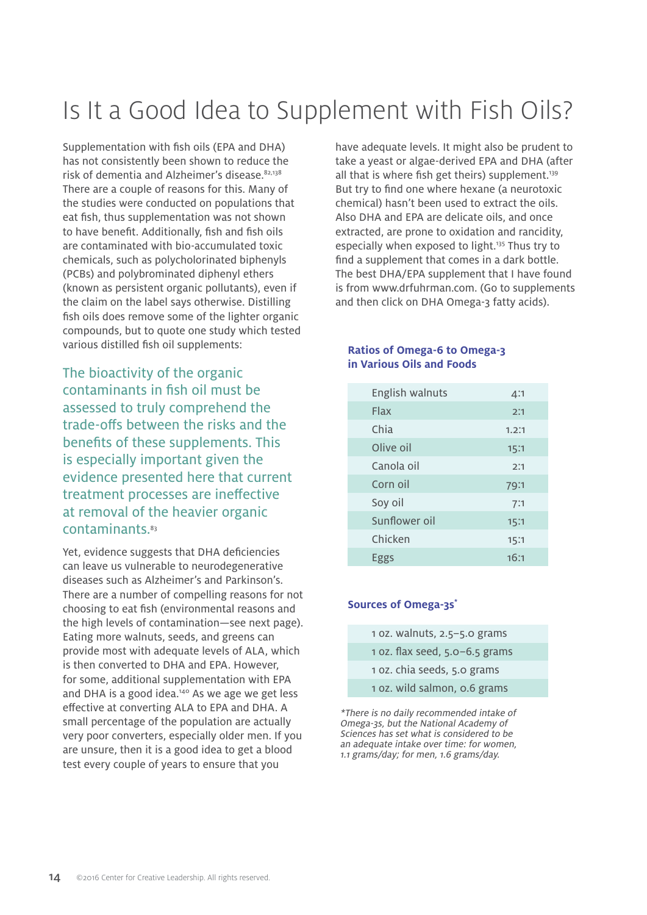# Is It a Good Idea to Supplement with Fish Oils?

Supplementation with fish oils (EPA and DHA) has not consistently been shown to reduce the risk of dementia and Alzheimer's disease.82,138 There are a couple of reasons for this. Many of the studies were conducted on populations that eat fish, thus supplementation was not shown to have benefit. Additionally, fish and fish oils are contaminated with bio-accumulated toxic chemicals, such as polycholorinated biphenyls (PCBs) and polybrominated diphenyl ethers (known as persistent organic pollutants), even if the claim on the label says otherwise. Distilling fish oils does remove some of the lighter organic compounds, but to quote one study which tested various distilled fish oil supplements:

The bioactivity of the organic contaminants in fish oil must be assessed to truly comprehend the trade-offs between the risks and the benefits of these supplements. This is especially important given the evidence presented here that current treatment processes are ineffective at removal of the heavier organic contaminants.<sup>83</sup>

Yet, evidence suggests that DHA deficiencies can leave us vulnerable to neurodegenerative diseases such as Alzheimer's and Parkinson's. There are a number of compelling reasons for not choosing to eat fish (environmental reasons and the high levels of contamination—see next page). Eating more walnuts, seeds, and greens can provide most with adequate levels of ALA, which is then converted to DHA and EPA. However, for some, additional supplementation with EPA and DHA is a good idea.<sup>140</sup> As we age we get less effective at converting ALA to EPA and DHA. A small percentage of the population are actually very poor converters, especially older men. If you are unsure, then it is a good idea to get a blood test every couple of years to ensure that you

have adequate levels. It might also be prudent to take a yeast or algae-derived EPA and DHA (after all that is where fish get theirs) supplement.<sup>139</sup> But try to find one where hexane (a neurotoxic chemical) hasn't been used to extract the oils. Also DHA and EPA are delicate oils, and once extracted, are prone to oxidation and rancidity, especially when exposed to light.<sup>135</sup> Thus try to find a supplement that comes in a dark bottle. The best DHA/EPA supplement that I have found is from www.drfuhrman.com. (Go to supplements and then click on DHA Omega-3 fatty acids).

#### **Ratios of Omega-6 to Omega-3 in Various Oils and Foods**

| English walnuts | 4:1   |
|-----------------|-------|
| Flax            | 2:1   |
| Chia            | 1.2:1 |
| Olive oil       | 15:1  |
| Canola oil      | 2:1   |
| Corn oil        | 79:1  |
| Soy oil         | 7:1   |
| Sunflower oil   | 15:1  |
| Chicken         | 15:1  |
| Eggs            | 16:1  |

#### **Sources of Omega-3s\***

| 1 oz. walnuts, $2.5 - 5.0$ grams   |
|------------------------------------|
| 1 oz. flax seed, $5.0 - 6.5$ grams |
| 1 oz. chia seeds, 5.0 grams        |
| 1 oz. wild salmon, o.6 grams       |

\*There is no daily recommended intake of Omega-3s, but the National Academy of Sciences has set what is considered to be an adequate intake over time: for women, 1.1 grams/day; for men, 1.6 grams/day.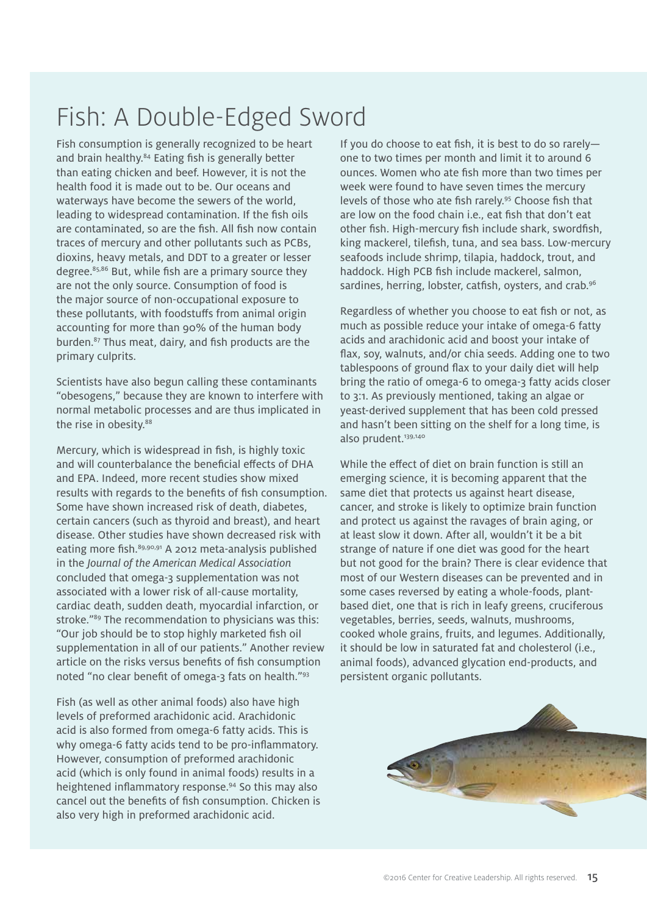# Fish: A Double-Edged Sword

Fish consumption is generally recognized to be heart and brain healthy.<sup>84</sup> Eating fish is generally better than eating chicken and beef. However, it is not the health food it is made out to be. Our oceans and waterways have become the sewers of the world, leading to widespread contamination. If the fish oils are contaminated, so are the fish. All fish now contain traces of mercury and other pollutants such as PCBs, dioxins, heavy metals, and DDT to a greater or lesser degree.85,86 But, while fish are a primary source they are not the only source. Consumption of food is the major source of non-occupational exposure to these pollutants, with foodstuffs from animal origin accounting for more than 90% of the human body burden.87 Thus meat, dairy, and fish products are the primary culprits.

Scientists have also begun calling these contaminants "obesogens," because they are known to interfere with normal metabolic processes and are thus implicated in the rise in obesity.<sup>88</sup>

Mercury, which is widespread in fish, is highly toxic and will counterbalance the beneficial effects of DHA and EPA. Indeed, more recent studies show mixed results with regards to the benefits of fish consumption. Some have shown increased risk of death, diabetes, certain cancers (such as thyroid and breast), and heart disease. Other studies have shown decreased risk with eating more fish.<sup>89,90,91</sup> A 2012 meta-analysis published in the *Journal of the American Medical Association* concluded that omega-3 supplementation was not associated with a lower risk of all-cause mortality, cardiac death, sudden death, myocardial infarction, or stroke."<sup>89</sup> The recommendation to physicians was this: "Our job should be to stop highly marketed fish oil supplementation in all of our patients." Another review article on the risks versus benefits of fish consumption noted "no clear benefit of omega-3 fats on health."93

Fish (as well as other animal foods) also have high levels of preformed arachidonic acid. Arachidonic acid is also formed from omega-6 fatty acids. This is why omega-6 fatty acids tend to be pro-inflammatory. However, consumption of preformed arachidonic acid (which is only found in animal foods) results in a heightened inflammatory response.94 So this may also cancel out the benefits of fish consumption. Chicken is also very high in preformed arachidonic acid.

If you do choose to eat fish, it is best to do so rarely one to two times per month and limit it to around 6 ounces. Women who ate fish more than two times per week were found to have seven times the mercury levels of those who ate fish rarely.95 Choose fish that are low on the food chain i.e., eat fish that don't eat other fish. High-mercury fish include shark, swordfish, king mackerel, tilefish, tuna, and sea bass. Low-mercury seafoods include shrimp, tilapia, haddock, trout, and haddock. High PCB fish include mackerel, salmon, sardines, herring, lobster, catfish, oysters, and crab.<sup>96</sup>

Regardless of whether you choose to eat fish or not, as much as possible reduce your intake of omega-6 fatty acids and arachidonic acid and boost your intake of flax, soy, walnuts, and/or chia seeds. Adding one to two tablespoons of ground flax to your daily diet will help bring the ratio of omega-6 to omega-3 fatty acids closer to 3:1. As previously mentioned, taking an algae or yeast-derived supplement that has been cold pressed and hasn't been sitting on the shelf for a long time, is also prudent.<sup>139,140</sup>

While the effect of diet on brain function is still an emerging science, it is becoming apparent that the same diet that protects us against heart disease, cancer, and stroke is likely to optimize brain function and protect us against the ravages of brain aging, or at least slow it down. After all, wouldn't it be a bit strange of nature if one diet was good for the heart but not good for the brain? There is clear evidence that most of our Western diseases can be prevented and in some cases reversed by eating a whole-foods, plantbased diet, one that is rich in leafy greens, cruciferous vegetables, berries, seeds, walnuts, mushrooms, cooked whole grains, fruits, and legumes. Additionally, it should be low in saturated fat and cholesterol (i.e., animal foods), advanced glycation end-products, and persistent organic pollutants.

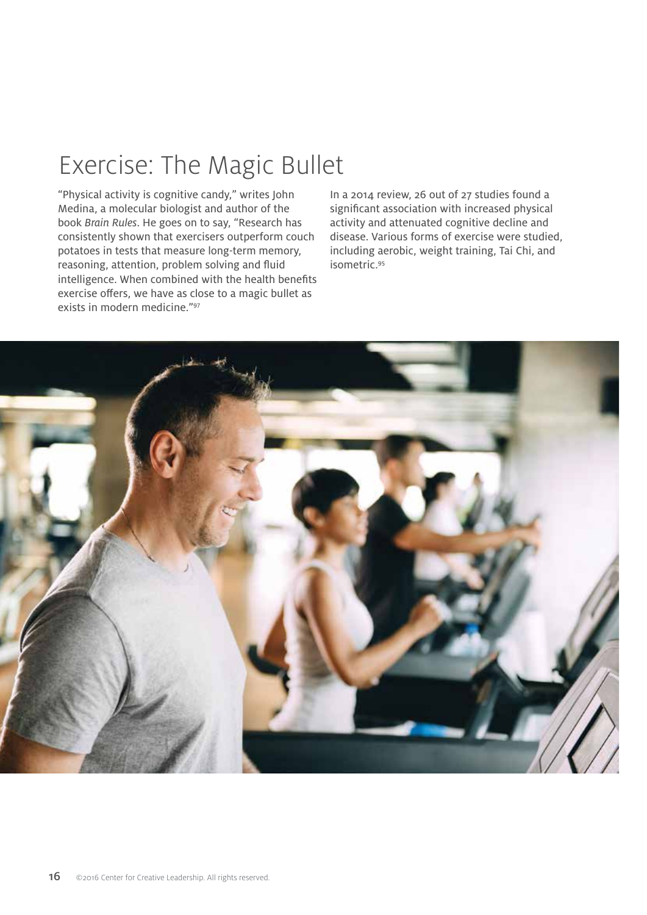## Exercise: The Magic Bullet

"Physical activity is cognitive candy," writes John Medina, a molecular biologist and author of the book *Brain Rules*. He goes on to say, "Research has consistently shown that exercisers outperform couch potatoes in tests that measure long-term memory, reasoning, attention, problem solving and fluid intelligence. When combined with the health benefits exercise offers, we have as close to a magic bullet as exists in modern medicine."97

In a 2014 review, 26 out of 27 studies found a significant association with increased physical activity and attenuated cognitive decline and disease. Various forms of exercise were studied, including aerobic, weight training, Tai Chi, and isometric.95

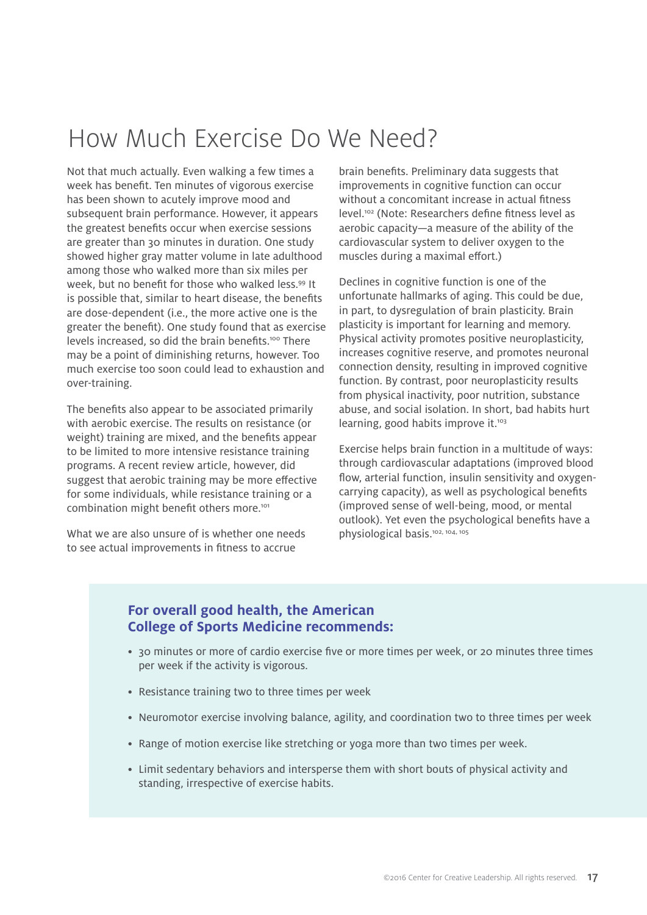## How Much Exercise Do We Need?

Not that much actually. Even walking a few times a week has benefit. Ten minutes of vigorous exercise has been shown to acutely improve mood and subsequent brain performance. However, it appears the greatest benefits occur when exercise sessions are greater than 30 minutes in duration. One study showed higher gray matter volume in late adulthood among those who walked more than six miles per week, but no benefit for those who walked less.<sup>99</sup> It is possible that, similar to heart disease, the benefits are dose-dependent (i.e., the more active one is the greater the benefit). One study found that as exercise levels increased, so did the brain benefits.<sup>100</sup> There may be a point of diminishing returns, however. Too much exercise too soon could lead to exhaustion and over-training.

The benefits also appear to be associated primarily with aerobic exercise. The results on resistance (or weight) training are mixed, and the benefits appear to be limited to more intensive resistance training programs. A recent review article, however, did suggest that aerobic training may be more effective for some individuals, while resistance training or a combination might benefit others more.<sup>101</sup>

What we are also unsure of is whether one needs to see actual improvements in fitness to accrue

brain benefits. Preliminary data suggests that improvements in cognitive function can occur without a concomitant increase in actual fitness level.102 (Note: Researchers define fitness level as aerobic capacity—a measure of the ability of the cardiovascular system to deliver oxygen to the muscles during a maximal effort.)

Declines in cognitive function is one of the unfortunate hallmarks of aging. This could be due, in part, to dysregulation of brain plasticity. Brain plasticity is important for learning and memory. Physical activity promotes positive neuroplasticity, increases cognitive reserve, and promotes neuronal connection density, resulting in improved cognitive function. By contrast, poor neuroplasticity results from physical inactivity, poor nutrition, substance abuse, and social isolation. In short, bad habits hurt learning, good habits improve it.<sup>103</sup>

Exercise helps brain function in a multitude of ways: through cardiovascular adaptations (improved blood flow, arterial function, insulin sensitivity and oxygencarrying capacity), as well as psychological benefits (improved sense of well-being, mood, or mental outlook). Yet even the psychological benefits have a physiological basis.102, 104, 105

#### **For overall good health, the American College of Sports Medicine recommends:**

- 30 minutes or more of cardio exercise five or more times per week, or 20 minutes three times per week if the activity is vigorous.
- Resistance training two to three times per week
- Neuromotor exercise involving balance, agility, and coordination two to three times per week
- Range of motion exercise like stretching or yoga more than two times per week.
- Limit sedentary behaviors and intersperse them with short bouts of physical activity and standing, irrespective of exercise habits.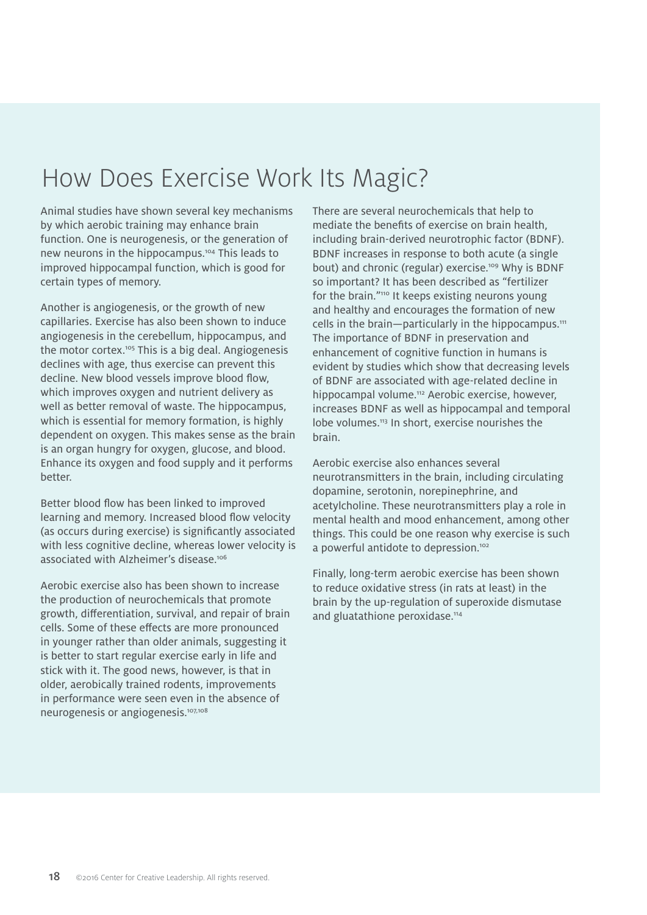# How Does Exercise Work Its Magic?

Animal studies have shown several key mechanisms by which aerobic training may enhance brain function. One is neurogenesis, or the generation of new neurons in the hippocampus.<sup>104</sup> This leads to improved hippocampal function, which is good for certain types of memory.

Another is angiogenesis, or the growth of new capillaries. Exercise has also been shown to induce angiogenesis in the cerebellum, hippocampus, and the motor cortex.<sup>105</sup> This is a big deal. Angiogenesis declines with age, thus exercise can prevent this decline. New blood vessels improve blood flow, which improves oxygen and nutrient delivery as well as better removal of waste. The hippocampus, which is essential for memory formation, is highly dependent on oxygen. This makes sense as the brain is an organ hungry for oxygen, glucose, and blood. Enhance its oxygen and food supply and it performs better.

Better blood flow has been linked to improved learning and memory. Increased blood flow velocity (as occurs during exercise) is significantly associated with less cognitive decline, whereas lower velocity is associated with Alzheimer's disease.106

Aerobic exercise also has been shown to increase the production of neurochemicals that promote growth, differentiation, survival, and repair of brain cells. Some of these effects are more pronounced in younger rather than older animals, suggesting it is better to start regular exercise early in life and stick with it. The good news, however, is that in older, aerobically trained rodents, improvements in performance were seen even in the absence of neurogenesis or angiogenesis.107,108

There are several neurochemicals that help to mediate the benefits of exercise on brain health, including brain-derived neurotrophic factor (BDNF). BDNF increases in response to both acute (a single bout) and chronic (regular) exercise.<sup>109</sup> Why is BDNF so important? It has been described as "fertilizer for the brain."<sup>110</sup> It keeps existing neurons young and healthy and encourages the formation of new cells in the brain-particularly in the hippocampus.<sup>111</sup> The importance of BDNF in preservation and enhancement of cognitive function in humans is evident by studies which show that decreasing levels of BDNF are associated with age-related decline in hippocampal volume.<sup>112</sup> Aerobic exercise, however, increases BDNF as well as hippocampal and temporal lobe volumes.<sup>113</sup> In short, exercise nourishes the brain.

Aerobic exercise also enhances several neurotransmitters in the brain, including circulating dopamine, serotonin, norepinephrine, and acetylcholine. These neurotransmitters play a role in mental health and mood enhancement, among other things. This could be one reason why exercise is such a powerful antidote to depression.<sup>102</sup>

Finally, long-term aerobic exercise has been shown to reduce oxidative stress (in rats at least) in the brain by the up-regulation of superoxide dismutase and gluatathione peroxidase.<sup>114</sup>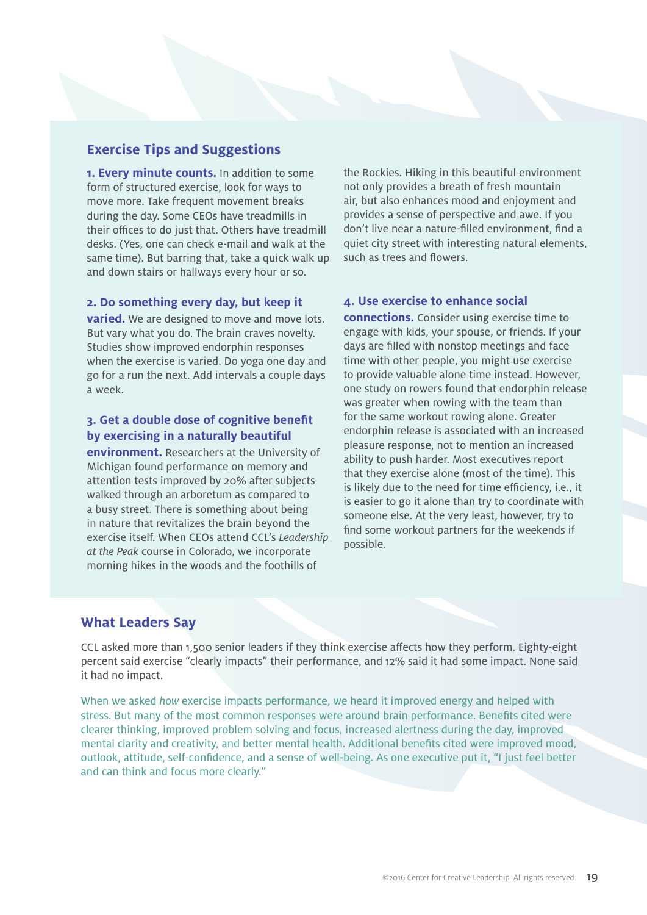#### **Exercise Tips and Suggestions**

**1. Every minute counts.** In addition to some form of structured exercise, look for ways to move more. Take frequent movement breaks during the day. Some CEOs have treadmills in their offices to do just that. Others have treadmill desks. (Yes, one can check e-mail and walk at the same time). But barring that, take a quick walk up and down stairs or hallways every hour or so.

the Rockies. Hiking in this beautiful environment not only provides a breath of fresh mountain air, but also enhances mood and enjoyment and provides a sense of perspective and awe. If you don't live near a nature-filled environment, find a quiet city street with interesting natural elements, such as trees and flowers.

#### **2. Do something every day, but keep it**

**varied.** We are designed to move and move lots. But vary what you do. The brain craves novelty. Studies show improved endorphin responses when the exercise is varied. Do yoga one day and go for a run the next. Add intervals a couple days a week.

#### **3. Get a double dose of cognitive benefit by exercising in a naturally beautiful**

**environment.** Researchers at the University of Michigan found performance on memory and attention tests improved by 20% after subjects walked through an arboretum as compared to a busy street. There is something about being in nature that revitalizes the brain beyond the exercise itself. When CEOs attend CCL's *Leadership at the Peak* course in Colorado, we incorporate morning hikes in the woods and the foothills of

#### **4. Use exercise to enhance social**

**connections.** Consider using exercise time to engage with kids, your spouse, or friends. If your days are filled with nonstop meetings and face time with other people, you might use exercise to provide valuable alone time instead. However, one study on rowers found that endorphin release was greater when rowing with the team than for the same workout rowing alone. Greater endorphin release is associated with an increased pleasure response, not to mention an increased ability to push harder. Most executives report that they exercise alone (most of the time). This is likely due to the need for time efficiency, i.e., it is easier to go it alone than try to coordinate with someone else. At the very least, however, try to find some workout partners for the weekends if possible.

#### **What Leaders Say**

CCL asked more than 1,500 senior leaders if they think exercise affects how they perform. Eighty-eight percent said exercise "clearly impacts" their performance, and 12% said it had some impact. None said it had no impact.

When we asked *how* exercise impacts performance, we heard it improved energy and helped with stress. But many of the most common responses were around brain performance. Benefits cited were clearer thinking, improved problem solving and focus, increased alertness during the day, improved mental clarity and creativity, and better mental health. Additional benefits cited were improved mood, outlook, attitude, self-confidence, and a sense of well-being. As one executive put it, "I just feel better and can think and focus more clearly."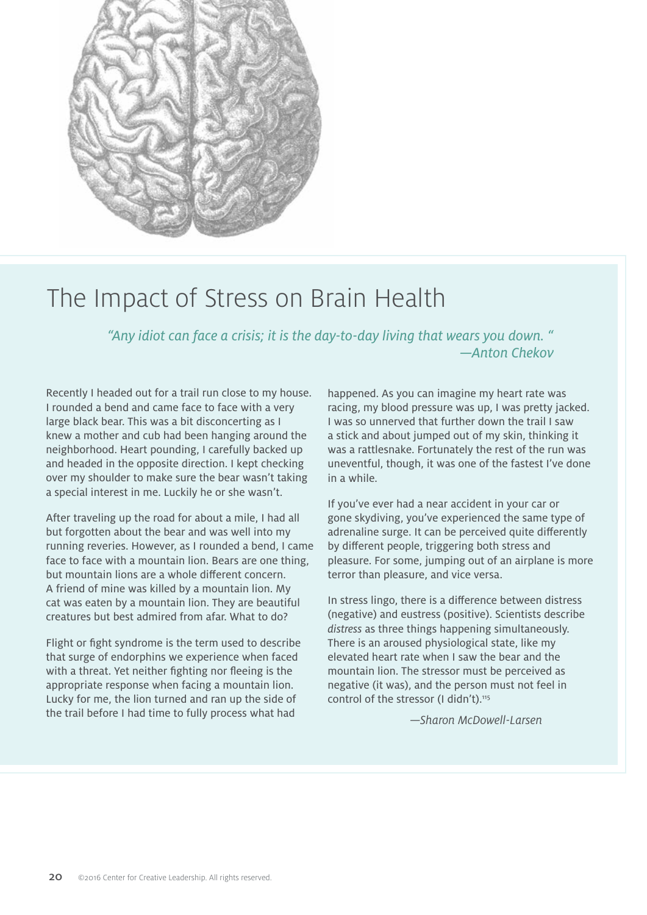

### The Impact of Stress on Brain Health

*"Any idiot can face a crisis; it is the day-to-day living that wears you down. " —Anton Chekov* 

Recently I headed out for a trail run close to my house. I rounded a bend and came face to face with a very large black bear. This was a bit disconcerting as I knew a mother and cub had been hanging around the neighborhood. Heart pounding, I carefully backed up and headed in the opposite direction. I kept checking over my shoulder to make sure the bear wasn't taking a special interest in me. Luckily he or she wasn't.

After traveling up the road for about a mile, I had all but forgotten about the bear and was well into my running reveries. However, as I rounded a bend, I came face to face with a mountain lion. Bears are one thing, but mountain lions are a whole different concern. A friend of mine was killed by a mountain lion. My cat was eaten by a mountain lion. They are beautiful creatures but best admired from afar. What to do?

Flight or fight syndrome is the term used to describe that surge of endorphins we experience when faced with a threat. Yet neither fighting nor fleeing is the appropriate response when facing a mountain lion. Lucky for me, the lion turned and ran up the side of the trail before I had time to fully process what had

happened. As you can imagine my heart rate was racing, my blood pressure was up, I was pretty jacked. I was so unnerved that further down the trail I saw a stick and about jumped out of my skin, thinking it was a rattlesnake. Fortunately the rest of the run was uneventful, though, it was one of the fastest I've done in a while.

If you've ever had a near accident in your car or gone skydiving, you've experienced the same type of adrenaline surge. It can be perceived quite differently by different people, triggering both stress and pleasure. For some, jumping out of an airplane is more terror than pleasure, and vice versa.

In stress lingo, there is a difference between distress (negative) and eustress (positive). Scientists describe *distress* as three things happening simultaneously. There is an aroused physiological state, like my elevated heart rate when I saw the bear and the mountain lion. The stressor must be perceived as negative (it was), and the person must not feel in control of the stressor (I didn't).<sup>115</sup>

*—Sharon McDowell-Larsen*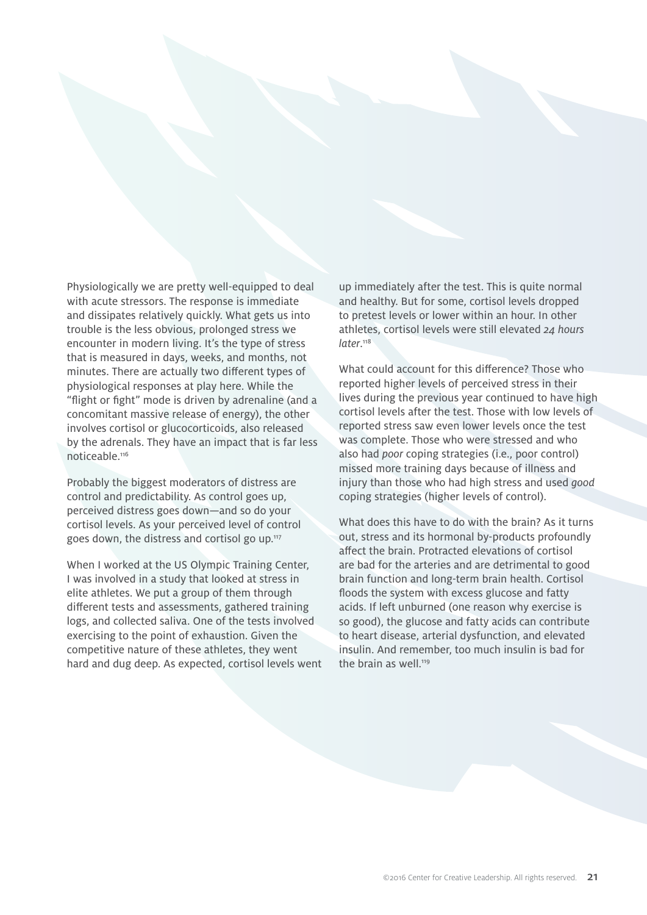Physiologically we are pretty well-equipped to deal with acute stressors. The response is immediate and dissipates relatively quickly. What gets us into trouble is the less obvious, prolonged stress we encounter in modern living. It's the type of stress that is measured in days, weeks, and months, not minutes. There are actually two different types of physiological responses at play here. While the "flight or fight" mode is driven by adrenaline (and a concomitant massive release of energy), the other involves cortisol or glucocorticoids, also released by the adrenals. They have an impact that is far less noticeable.116

Probably the biggest moderators of distress are control and predictability. As control goes up, perceived distress goes down—and so do your cortisol levels. As your perceived level of control goes down, the distress and cortisol go up.117

When I worked at the US Olympic Training Center, I was involved in a study that looked at stress in elite athletes. We put a group of them through different tests and assessments, gathered training logs, and collected saliva. One of the tests involved exercising to the point of exhaustion. Given the competitive nature of these athletes, they went hard and dug deep. As expected, cortisol levels went up immediately after the test. This is quite normal and healthy. But for some, cortisol levels dropped to pretest levels or lower within an hour. In other athletes, cortisol levels were still elevated *24 hours later*. 118

What could account for this difference? Those who reported higher levels of perceived stress in their lives during the previous year continued to have high cortisol levels after the test. Those with low levels of reported stress saw even lower levels once the test was complete. Those who were stressed and who also had *poor* coping strategies (i.e., poor control) missed more training days because of illness and injury than those who had high stress and used *good* coping strategies (higher levels of control).

What does this have to do with the brain? As it turns out, stress and its hormonal by-products profoundly affect the brain. Protracted elevations of cortisol are bad for the arteries and are detrimental to good brain function and long-term brain health. Cortisol floods the system with excess glucose and fatty acids. If left unburned (one reason why exercise is so good), the glucose and fatty acids can contribute to heart disease, arterial dysfunction, and elevated insulin. And remember, too much insulin is bad for the brain as well.<sup>119</sup>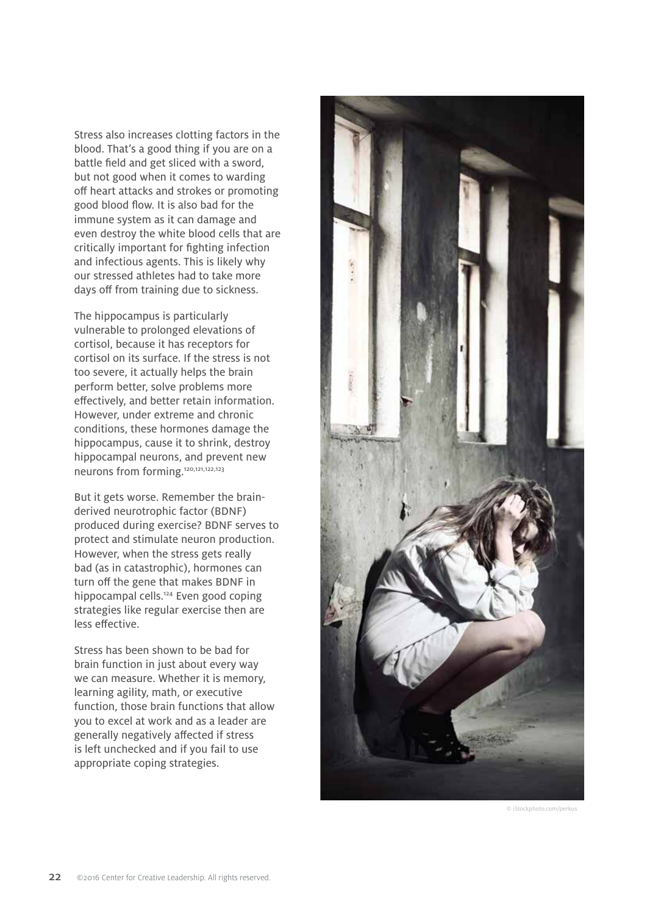Stress also increases clotting factors in the blood. That's a good thing if you are on a battle field and get sliced with a sword, but not good when it comes to warding off heart attacks and strokes or promoting good blood flow. It is also bad for the immune system as it can damage and even destroy the white blood cells that are critically important for fighting infection and infectious agents. This is likely why our stressed athletes had to take more days off from training due to sickness.

The hippocampus is particularly vulnerable to prolonged elevations of cortisol, because it has receptors for cortisol on its surface. If the stress is not too severe, it actually helps the brain perform better, solve problems more effectively, and better retain information. However, under extreme and chronic conditions, these hormones damage the hippocampus, cause it to shrink, destroy hippocampal neurons, and prevent new neurons from forming.120,121,122,123

But it gets worse. Remember the brainderived neurotrophic factor (BDNF) produced during exercise? BDNF serves to protect and stimulate neuron production. However, when the stress gets really bad (as in catastrophic), hormones can turn off the gene that makes BDNF in hippocampal cells.<sup>124</sup> Even good coping strategies like regular exercise then are less effective.

Stress has been shown to be bad for brain function in just about every way we can measure. Whether it is memory, learning agility, math, or executive function, those brain functions that allow you to excel at work and as a leader are generally negatively affected if stress is left unchecked and if you fail to use appropriate coping strategies.



© iStockphoto.com/perkus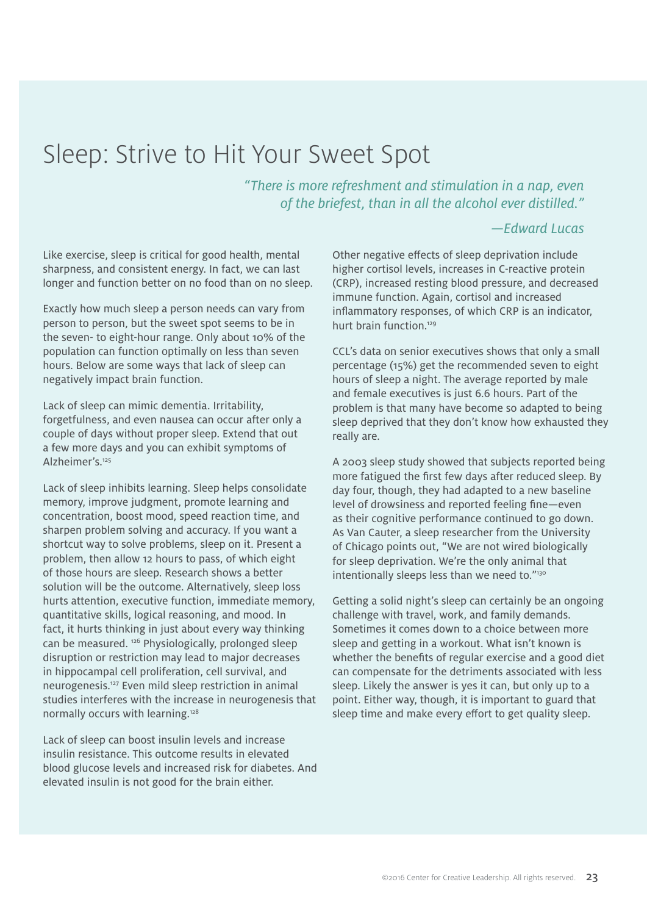### Sleep: Strive to Hit Your Sweet Spot

*"There is more refreshment and stimulation in a nap, even of the briefest, than in all the alcohol ever distilled."*

#### *—Edward Lucas*

Like exercise, sleep is critical for good health, mental sharpness, and consistent energy. In fact, we can last longer and function better on no food than on no sleep.

Exactly how much sleep a person needs can vary from person to person, but the sweet spot seems to be in the seven- to eight-hour range. Only about 10% of the population can function optimally on less than seven hours. Below are some ways that lack of sleep can negatively impact brain function.

Lack of sleep can mimic dementia. Irritability, forgetfulness, and even nausea can occur after only a couple of days without proper sleep. Extend that out a few more days and you can exhibit symptoms of Alzheimer's.125

Lack of sleep inhibits learning. Sleep helps consolidate memory, improve judgment, promote learning and concentration, boost mood, speed reaction time, and sharpen problem solving and accuracy. If you want a shortcut way to solve problems, sleep on it. Present a problem, then allow 12 hours to pass, of which eight of those hours are sleep. Research shows a better solution will be the outcome. Alternatively, sleep loss hurts attention, executive function, immediate memory, quantitative skills, logical reasoning, and mood. In fact, it hurts thinking in just about every way thinking can be measured.<sup>126</sup> Physiologically, prolonged sleep disruption or restriction may lead to major decreases in hippocampal cell proliferation, cell survival, and neurogenesis.127 Even mild sleep restriction in animal studies interferes with the increase in neurogenesis that normally occurs with learning.128

Lack of sleep can boost insulin levels and increase insulin resistance. This outcome results in elevated blood glucose levels and increased risk for diabetes. And elevated insulin is not good for the brain either.

Other negative effects of sleep deprivation include higher cortisol levels, increases in C-reactive protein (CRP), increased resting blood pressure, and decreased immune function. Again, cortisol and increased inflammatory responses, of which CRP is an indicator, hurt brain function.129

CCL's data on senior executives shows that only a small percentage (15%) get the recommended seven to eight hours of sleep a night. The average reported by male and female executives is just 6.6 hours. Part of the problem is that many have become so adapted to being sleep deprived that they don't know how exhausted they really are.

A 2003 sleep study showed that subjects reported being more fatigued the first few days after reduced sleep. By day four, though, they had adapted to a new baseline level of drowsiness and reported feeling fine—even as their cognitive performance continued to go down. As Van Cauter, a sleep researcher from the University of Chicago points out, "We are not wired biologically for sleep deprivation. We're the only animal that intentionally sleeps less than we need to."<sup>130</sup>

Getting a solid night's sleep can certainly be an ongoing challenge with travel, work, and family demands. Sometimes it comes down to a choice between more sleep and getting in a workout. What isn't known is whether the benefits of regular exercise and a good diet can compensate for the detriments associated with less sleep. Likely the answer is yes it can, but only up to a point. Either way, though, it is important to guard that sleep time and make every effort to get quality sleep.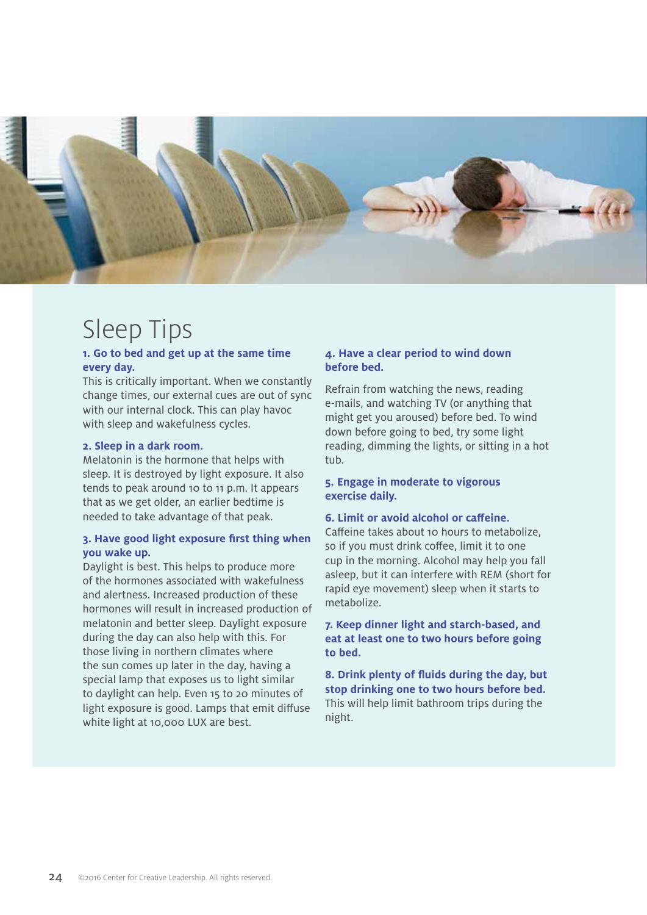

### Sleep Tips

#### **1. Go to bed and get up at the same time every day.**

This is critically important. When we constantly change times, our external cues are out of sync with our internal clock. This can play havoc with sleep and wakefulness cycles.

#### **2. Sleep in a dark room.**

Melatonin is the hormone that helps with sleep. It is destroyed by light exposure. It also tends to peak around 10 to 11 p.m. It appears that as we get older, an earlier bedtime is needed to take advantage of that peak.

#### **3. Have good light exposure first thing when you wake up.**

Daylight is best. This helps to produce more of the hormones associated with wakefulness and alertness. Increased production of these hormones will result in increased production of melatonin and better sleep. Daylight exposure during the day can also help with this. For those living in northern climates where the sun comes up later in the day, having a special lamp that exposes us to light similar to daylight can help. Even 15 to 20 minutes of light exposure is good. Lamps that emit diffuse white light at 10,000 LUX are best.

#### **4. Have a clear period to wind down before bed.**

Refrain from watching the news, reading e-mails, and watching TV (or anything that might get you aroused) before bed. To wind down before going to bed, try some light reading, dimming the lights, or sitting in a hot tub.

#### **5. Engage in moderate to vigorous exercise daily.**

#### **6. Limit or avoid alcohol or caffeine.**

Caffeine takes about 10 hours to metabolize, so if you must drink coffee, limit it to one cup in the morning. Alcohol may help you fall asleep, but it can interfere with REM (short for rapid eye movement) sleep when it starts to metabolize.

**7. Keep dinner light and starch-based, and eat at least one to two hours before going to bed.** 

**8. Drink plenty of fluids during the day, but stop drinking one to two hours before bed.** This will help limit bathroom trips during the night.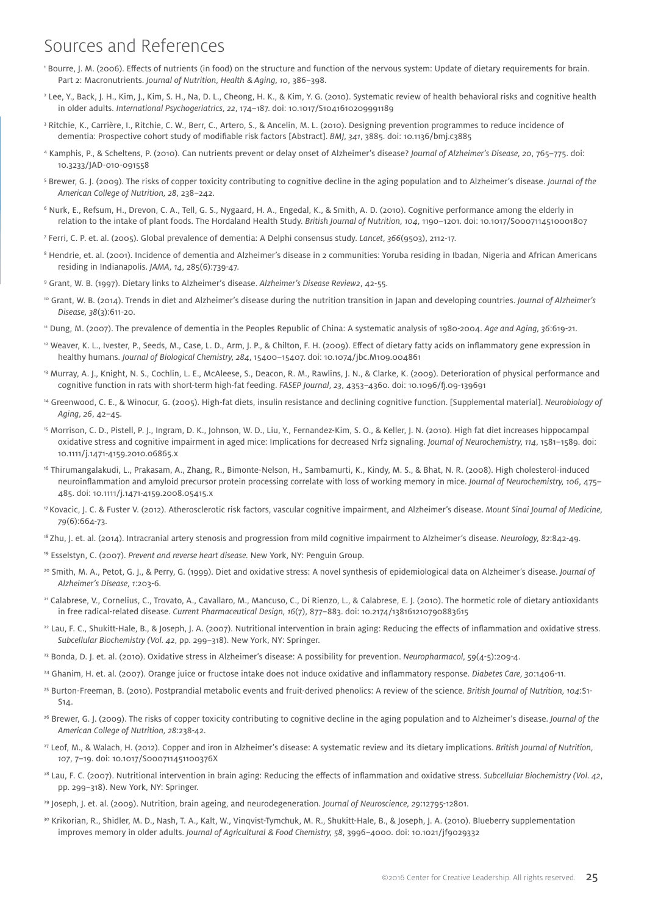### Sources and References

- 1 Bourre, J. M. (2006). Effects of nutrients (in food) on the structure and function of the nervous system: Update of dietary requirements for brain. Part 2: Macronutrients. *Journal of Nutrition, Health* & *Aging, 10*, 386–398.
- 2 Lee, Y., Back, J. H., Kim, J., Kim, S. H., Na, D. L., Cheong, H. K., & Kim, Y. G. (2010). Systematic review of health behavioral risks and cognitive health in older adults. *International Psychogeriatrics, 22*, 174–187. doi: 10.1017/S1041610209991189
- <sup>3</sup> Ritchie, K., Carrière, I., Ritchie, C. W., Berr, C., Artero, S., & Ancelin, M. L. (2010). Designing prevention programmes to reduce incidence of dementia: Prospective cohort study of modifiable risk factors [Abstract]. *BMJ, 341*, 3885. doi: 10.1136/bmj.c3885
- 4 Kamphis, P., & Scheltens, P. (2010). Can nutrients prevent or delay onset of Alzheimer's disease? *Journal of Alzheimer's Disease, 20*, 765–775. doi: 10.3233/JAD-010-091558
- 5 Brewer, G. J. (2009). The risks of copper toxicity contributing to cognitive decline in the aging population and to Alzheimer's disease. *Journal of the American College of Nutrition, 28*, 238–242.
- 6 Nurk, E., Refsum, H., Drevon, C. A., Tell, G. S., Nygaard, H. A., Engedal, K., & Smith, A. D. (2010). Cognitive performance among the elderly in relation to the intake of plant foods. The Hordaland Health Study. *British Journal of Nutrition, 104*, 1190–1201. doi: 10.1017/S0007114510001807
- 7 Ferri, C. P. et. al. (2005). Global prevalence of dementia: A Delphi consensus study. *Lancet, 366*(9503), 2112-17.
- $^{\rm 8}$  Hendrie, et. al. (2001). Incidence of dementia and Alzheimer's disease in 2 communities: Yoruba residing in Ibadan, Nigeria and African Americans residing in Indianapolis. *JAMA, 14*, 285(6):739-47.
- 9 Grant, W. B. (1997). Dietary links to Alzheimer's disease. *Alzheimer's Disease Review2*, 42-55.
- <sup>10</sup> Grant, W. B. (2014). Trends in diet and Alzheimer's disease during the nutrition transition in Japan and developing countries. *Journal of Alzheimer's Disease, 38*(3):611-20.
- 11 Dung, M. (2007). The prevalence of dementia in the Peoples Republic of China: A systematic analysis of 1980-2004. *Age and Aging, 36*:619-21.
- <sup>12</sup> Weaver, K. L., Ivester, P., Seeds, M., Case, L. D., Arm, J. P., & Chilton, F. H. (2009). Effect of dietary fatty acids on inflammatory gene expression in healthy humans. *Journal of Biological Chemistry, 284*, 15400–15407. doi: 10.1074/jbc.M109.004861
- <sup>13</sup> Murray, A. J., Knight, N. S., Cochlin, L. E., McAleese, S., Deacon, R. M., Rawlins, J. N., & Clarke, K. (2009). Deterioration of physical performance and cognitive function in rats with short-term high-fat feeding. *FASEP Journal, 23*, 4353–4360. doi: 10.1096/fj.09-139691
- 14 Greenwood, C. E., & Winocur, G. (2005). High-fat diets, insulin resistance and declining cognitive function. [Supplemental material]. *Neurobiology of Aging, 26*, 42–45.
- 15 Morrison, C. D., Pistell, P. J., Ingram, D. K., Johnson, W. D., Liu, Y., Fernandez-Kim, S. O., & Keller, J. N. (2010). High fat diet increases hippocampal oxidative stress and cognitive impairment in aged mice: Implications for decreased Nrf2 signaling. *Journal of Neurochemistry, 114*, 1581–1589. doi: 10.1111/j.1471-4159.2010.06865.x
- 16 Thirumangalakudi, L., Prakasam, A., Zhang, R., Bimonte-Nelson, H., Sambamurti, K., Kindy, M. S., & Bhat, N. R. (2008). High cholesterol-induced neuroinflammation and amyloid precursor protein processing correlate with loss of working memory in mice. *Journal of Neurochemistry, 106*, 475– 485. doi: 10.1111/j.1471-4159.2008.05415.x
- 17 Kovacic, J. C. & Fuster V. (2012). Atherosclerotic risk factors, vascular cognitive impairment, and Alzheimer's disease. *Mount Sinai Journal of Medicine, 79*(6):664-73.
- 18 Zhu, J. et. al. (2014). Intracranial artery stenosis and progression from mild cognitive impairment to Alzheimer's disease. *Neurology, 82*:842-49.
- 19 Esselstyn, C. (2007). *Prevent and reverse heart disease.* New York, NY: Penguin Group.
- 20 Smith, M. A., Petot, G. J., & Perry, G. (1999). Diet and oxidative stress: A novel synthesis of epidemiological data on Alzheimer's disease. *Journal of Alzheimer's Disease, 1*:203-6.
- <sup>21</sup> Calabrese, V., Cornelius, C., Trovato, A., Cavallaro, M., Mancuso, C., Di Rienzo, L., & Calabrese, E. J. (2010). The hormetic role of dietary antioxidants in free radical-related disease. *Current Pharmaceutical Design, 16*(7), 877–883. doi: 10.2174/138161210790883615
- <sup>22</sup> Lau, F. C., Shukitt-Hale, B., & Joseph, J. A. (2007). Nutritional intervention in brain aging: Reducing the effects of inflammation and oxidative stress. *Subcellular Biochemistry (Vol. 42*, pp. 299–318). New York, NY: Springer.
- 23 Bonda, D. J. et. al. (2010). Oxidative stress in Alzheimer's disease: A possibility for prevention. *Neuropharmacol, 59*(4-5):209-4.
- 24 Ghanim, H. et. al. (2007). Orange juice or fructose intake does not induce oxidative and inflammatory response. *Diabetes Care, 30*:1406-11.
- 25 Burton-Freeman, B. (2010). Postprandial metabolic events and fruit-derived phenolics: A review of the science. *British Journal of Nutrition, 104*:S1-  $S1A$
- 26 Brewer, G. J. (2009). The risks of copper toxicity contributing to cognitive decline in the aging population and to Alzheimer's disease. *Journal of the American College of Nutrition, 28*:238-42.
- 27 Leof, M., & Walach, H. (2012). Copper and iron in Alzheimer's disease: A systematic review and its dietary implications. *British Journal of Nutrition, 107*, 7–19. doi: 10.1017/S000711451100376X
- <sup>28</sup> Lau, F. C. (2007). Nutritional intervention in brain aging: Reducing the effects of inflammation and oxidative stress. Subcellular Biochemistry (Vol. 42, pp. 299–318). New York, NY: Springer.
- 29 Joseph, J. et. al. (2009). Nutrition, brain ageing, and neurodegeneration. *Journal of Neuroscience, 29*:12795-12801.
- 3º Krikorian, R., Shidler, M. D., Nash, T. A., Kalt, W., Vinqvist-Tymchuk, M. R., Shukitt-Hale, B., & Joseph, J. A. (2010). Blueberry supplementation improves memory in older adults. *Journal of Agricultural* & *Food Chemistry, 58*, 3996–4000. doi: 10.1021/jf9029332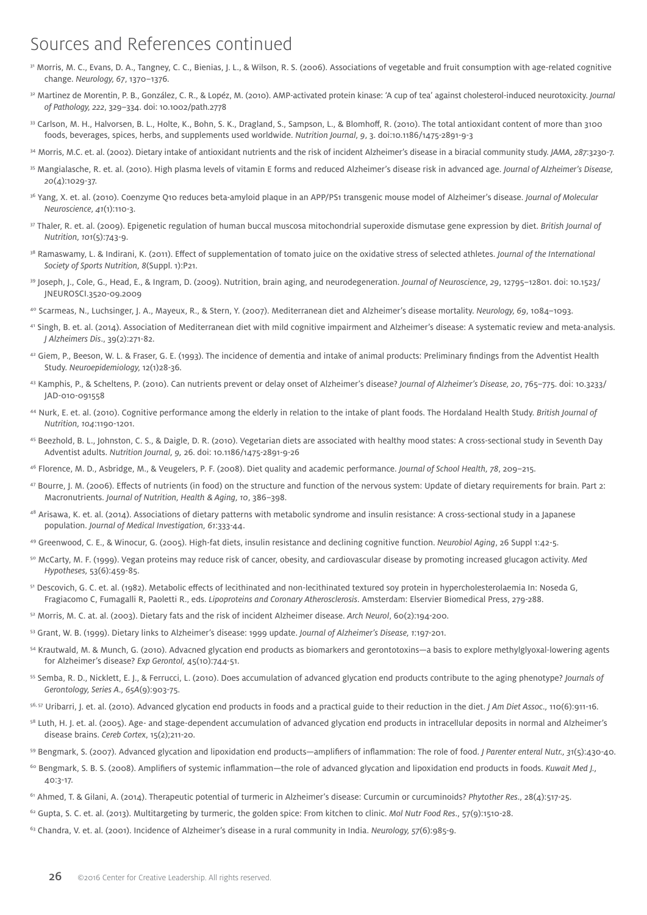### Sources and References continued

- 31 Morris, M. C., Evans, D. A., Tangney, C. C., Bienias, J. L., & Wilson, R. S. (2006). Associations of vegetable and fruit consumption with age-related cognitive change. *Neurology, 67*, 1370–1376.
- 32 Martinez de Morentin, P. B., González, C. R., & Lopéz, M. (2010). AMP-activated protein kinase: 'A cup of tea' against cholesterol-induced neurotoxicity. *Journal of Pathology, 222*, 329–334. doi: 10.1002/path.2778
- 33 Carlson, M. H., Halvorsen, B. L., Holte, K., Bohn, S. K., Dragland, S., Sampson, L., & Blomhoff, R. (2010). The total antioxidant content of more than 3100 foods, beverages, spices, herbs, and supplements used worldwide. *Nutrition Journal, 9*, 3. doi:10.1186/1475-2891-9-3
- 34 Morris, M.C. et. al. (2002). Dietary intake of antioxidant nutrients and the risk of incident Alzheimer's disease in a biracial community study. *JAMA, 287*:3230-7.
- 35 Mangialasche, R. et. al. (2010). High plasma levels of vitamin E forms and reduced Alzheimer's disease risk in advanced age. *Journal of Alzheimer's Disease, 20*(4):1029-37.
- 36 Yang, X. et. al. (2010). Coenzyme Q10 reduces beta-amyloid plaque in an APP/PS1 transgenic mouse model of Alzheimer's disease. *Journal of Molecular Neuroscience, 41*(1):110-3.
- 37 Thaler, R. et. al. (2009). Epigenetic regulation of human buccal muscosa mitochondrial superoxide dismutase gene expression by diet. *British Journal of Nutrition, 101*(5):743-9.
- 38 Ramaswamy, L. & Indirani, K. (2011). Effect of supplementation of tomato juice on the oxidative stress of selected athletes. *Journal of the International Society of Sports Nutrition, 8*(Suppl. 1):P21.
- 39 Joseph, J., Cole, G., Head, E., & Ingram, D. (2009). Nutrition, brain aging, and neurodegeneration. *Journal of Neuroscience, 29*, 12795–12801. doi: 10.1523/ JNEUROSCI.3520-09.2009
- 40 Scarmeas, N., Luchsinger, J. A., Mayeux, R., & Stern, Y. (2007). Mediterranean diet and Alzheimer's disease mortality. *Neurology, 69*, 1084–1093.
- 41 Singh, B. et. al. (2014). Association of Mediterranean diet with mild cognitive impairment and Alzheimer's disease: A systematic review and meta-analysis. *J Alzheimers Dis*., 39(2):271-82.
- 42 Giem, P., Beeson, W. L. & Fraser, G. E. (1993). The incidence of dementia and intake of animal products: Preliminary findings from the Adventist Health Study. *Neuroepidemiology,* 12(1)28-36.
- 43 Kamphis, P., & Scheltens, P. (2010). Can nutrients prevent or delay onset of Alzheimer's disease? *Journal of Alzheimer's Disease, 20*, 765–775. doi: 10.3233/ JAD-010-091558
- 44 Nurk, E. et. al. (2010). Cognitive performance among the elderly in relation to the intake of plant foods. The Hordaland Health Study. *British Journal of Nutrition, 104*:1190-1201.
- 45 Beezhold, B. L., Johnston, C. S., & Daigle, D. R. (2010). Vegetarian diets are associated with healthy mood states: A cross-sectional study in Seventh Day Adventist adults. *Nutrition Journal, 9,* 26. doi: 10.1186/1475-2891-9-26
- 46 Florence, M. D., Asbridge, M., & Veugelers, P. F. (2008). Diet quality and academic performance. *Journal of School Health, 78*, 209–215.
- 47 Bourre, J. M. (2006). Effects of nutrients (in food) on the structure and function of the nervous system: Update of dietary requirements for brain. Part 2: Macronutrients. *Journal of Nutrition, Health* & *Aging, 10*, 386–398.
- 48 Arisawa, K. et. al. (2014). Associations of dietary patterns with metabolic syndrome and insulin resistance: A cross-sectional study in a Japanese population. *Journal of Medical Investigation, 61*:333-44.
- 49 Greenwood, C. E., & Winocur, G. (2005). High-fat diets, insulin resistance and declining cognitive function. *Neurobiol Aging*, 26 Suppl 1:42-5.
- 50 McCarty, M. F. (1999). Vegan proteins may reduce risk of cancer, obesity, and cardiovascular disease by promoting increased glucagon activity. *Med Hypotheses,* 53(6):459-85.
- 51 Descovich, G. C. et. al. (1982). Metabolic effects of lecithinated and non-lecithinated textured soy protein in hypercholesterolaemia In: Noseda G, Fragiacomo C, Fumagalli R, Paoletti R., eds. *Lipoproteins and Coronary Atherosclerosis*. Amsterdam: Elservier Biomedical Press, 279-288.
- 52 Morris, M. C. at. al. (2003). Dietary fats and the risk of incident Alzheimer disease. *Arch Neurol*, 60(2):194-200.
- 53 Grant, W. B. (1999). Dietary links to Alzheimer's disease: 1999 update. *Journal of Alzheimer's Disease, 1*:197-201.
- 54 Krautwald, M. & Munch, G. (2010). Advacned glycation end products as biomarkers and gerontotoxins—a basis to explore methylglyoxal-lowering agents for Alzheimer's disease? *Exp Gerontol,* 45(10):744-51.
- 55 Semba, R. D., Nicklett, E. J., & Ferrucci, L. (2010). Does accumulation of advanced glycation end products contribute to the aging phenotype? *Journals of Gerontology, Series A., 65A*(9):903-75.
- 56, 57 Uribarri, J. et. al. (2010). Advanced glycation end products in foods and a practical guide to their reduction in the diet. *J Am Diet Assoc.,* 110(6):911-16.
- <sup>58</sup> Luth, H. I. et. al. (2005). Age- and stage-dependent accumulation of advanced glycation end products in intracellular deposits in normal and Alzheimer's disease brains. *Cereb Cortex*, 15(2);211-20.
- 59 Bengmark, S. (2007). Advanced glycation and lipoxidation end products—amplifiers of inflammation: The role of food. *J Parenter enteral Nutr., 31*(5):430-40.
- 60 Bengmark, S. B. S. (2008). Amplifiers of systemic inflammation—the role of advanced glycation and lipoxidation end products in foods. *Kuwait Med J.,*  40:3-17.
- 61 Ahmed, T. & Gilani, A. (2014). Therapeutic potential of turmeric in Alzheimer's disease: Curcumin or curcuminoids? *Phytother Res*., 28(4):517-25.
- 62 Gupta, S. C. et. al. (2013). Multitargeting by turmeric, the golden spice: From kitchen to clinic. *Mol Nutr Food Res*., 57(9):1510-28.
- 63 Chandra, V. et. al. (2001). Incidence of Alzheimer's disease in a rural community in India. *Neurology, 57*(6):985-9.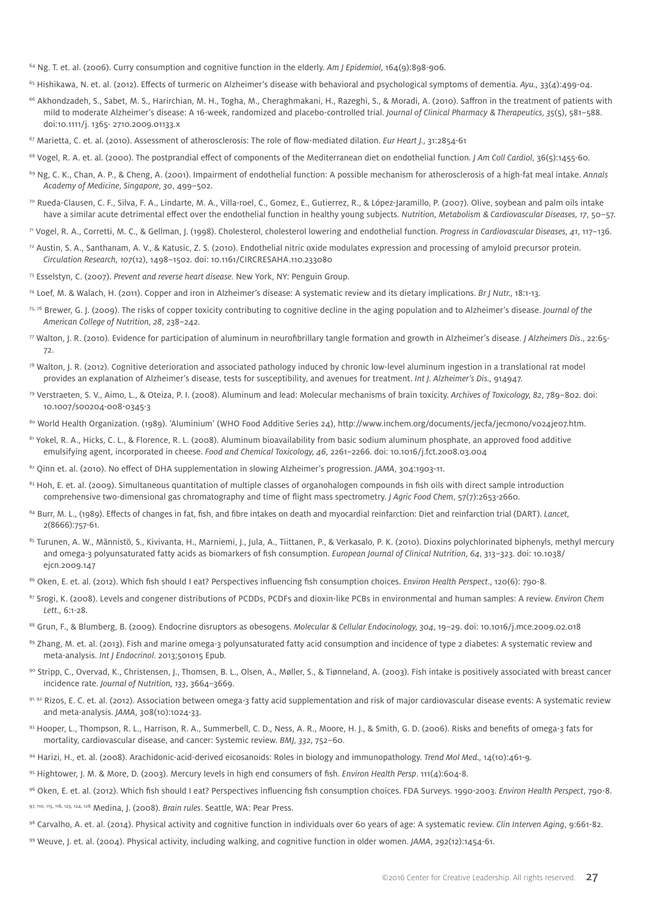64 Ng. T. et. al. (2006). Curry consumption and cognitive function in the elderly. *Am J Epidemiol,* 164(9):898-906.

65 Hishikawa, N. et. al. (2012). Effects of turmeric on Alzheimer's disease with behavioral and psychological symptoms of dementia. *Ayu.,* 33(4):499-04.

- <sup>66</sup> Akhondzadeh, S., Sabet, M. S., Harirchian, M. H., Togha, M., Cheraghmakani, H., Razeghi, S., & Moradi, A. (2010). Saffron in the treatment of patients with mild to moderate Alzheimer's disease: A 16-week, randomized and placebo-controlled trial. *Journal of Clinical Pharmacy* & *Therapeutics, 35*(5), 581–588. doi:10.1111/j. 1365- 2710.2009.01133.x
- 67 Marietta, C. et. al. (2010). Assessment of atherosclerosis: The role of flow-mediated dilation. *Eur Heart J.,* 31:2854-61
- 68 Vogel, R. A. et. al. (2000). The postprandial effect of components of the Mediterranean diet on endothelial function*. J Am Coll Cardiol,* 36(5):1455-60.
- 69 Ng, C. K., Chan, A. P., & Cheng, A. (2001). Impairment of endothelial function: A possible mechanism for atherosclerosis of a high-fat meal intake. *Annals Academy of Medicine, Singapore, 30*, 499–502.
- 70 Rueda-Clausen, C. F., Silva, F. A., Lindarte, M. A., Villa-roel, C., Gomez, E., Gutierrez, R., & López-Jaramillo, P. (2007). Olive, soybean and palm oils intake have a similar acute detrimental effect over the endothelial function in healthy young subjects. *Nutrition, Metabolism* & *Cardiovascular Diseases, 17*, 50–57.

71 Vogel, R. A., Corretti, M. C., & Gellman, J. (1998). Cholesterol, cholesterol lowering and endothelial function. *Progress in Cardiovascular Diseases, 41*, 117–136.

- $72$  Austin, S. A., Santhanam, A. V., & Katusic, Z. S. (2010). Endothelial nitric oxide modulates expression and processing of amyloid precursor protein. *Circulation Research, 107*(12), 1498–1502. doi: 10.1161/CIRCRESAHA.110.233080
- 73 Esselstyn, C. (2007). *Prevent and reverse heart disease.* New York, NY: Penguin Group.
- 74 Loef, M. & Walach, H. (2011). Copper and iron in Alzheimer's disease: A systematic review and its dietary implications. *Br J Nutr.,* 18:1-13.
- 75, 76 Brewer, G. J. (2009). The risks of copper toxicity contributing to cognitive decline in the aging population and to Alzheimer's disease. *Journal of the American College of Nutrition, 28*, 238–242.
- 77 Walton, J. R. (2010). Evidence for participation of aluminum in neurofibrillary tangle formation and growth in Alzheimer's disease. *J Alzheimers Dis*., 22:65- 72.
- $78$  Walton, J. R. (2012). Cognitive deterioration and associated pathology induced by chronic low-level aluminum ingestion in a translational rat model provides an explanation of Alzheimer's disease, tests for susceptibility, and avenues for treatment. *Int J. Alzheimer's Dis.,* 914947.
- 79 Verstraeten, S. V., Aimo, L., & Oteiza, P. I. (2008). Aluminum and lead: Molecular mechanisms of brain toxicity. *Archives of Toxicology, 82*, 789–802. doi: 10.1007/s00204-008-0345-3
- 80 World Health Organization. (1989). 'Aluminium' (WHO Food Additive Series 24), http://www.inchem.org/documents/jecfa/jecmono/vo24jeo7.htm.
- 81 Yokel, R. A., Hicks, C. L., & Florence, R. L. (2008). Aluminum bioavailability from basic sodium aluminum phosphate, an approved food additive emulsifying agent, incorporated in cheese. *Food and Chemical Toxicology, 46*, 2261–2266. doi: 10.1016/j.fct.2008.03.004
- 82 Qinn et. al. (2010). No effect of DHA supplementation in slowing Alzheimer's progression. *JAMA*, 304:1903-11.
- 83 Hoh, E. et. al. (2009). Simultaneous quantitation of multiple classes of organohalogen compounds in fish oils with direct sample introduction comprehensive two-dimensional gas chromatography and time of flight mass spectrometry. *J Agric Food Chem*, 57(7):2653-2660.
- 84 Burr, M. L., (1989). Effects of changes in fat, fish, and fibre intakes on death and myocardial reinfarction: Diet and reinfarction trial (DART). *Lancet,*  2(8666):757-61.
- 85 Turunen, A. W., Männistö, S., Kivivanta, H., Marniemi, J., Jula, A., Tiittanen, P., & Verkasalo, P. K. (2010). Dioxins polychlorinated biphenyls, methyl mercury and omega-3 polyunsaturated fatty acids as biomarkers of fish consumption. *European Journal of Clinical Nutrition, 64*, 313–323. doi: 10.1038/ ejcn.2009.147
- 86 Oken, E. et. al. (2012). Which fish should I eat? Perspectives influencing fish consumption choices. *Environ Health Perspect.,* 120(6): 790-8.
- 87 Srogi, K. (2008). Levels and congener distributions of PCDDs, PCDFs and dioxin-like PCBs in environmental and human samples: A review. *Environ Chem Lett.,* 6:1-28.
- 88 Grun, F., & Blumberg, B. (2009). Endocrine disruptors as obesogens. *Molecular* & *Cellular Endocinology, 304*, 19–29. doi: 10.1016/j.mce.2009.02.018
- 89 Zhang, M. et. al. (2013). Fish and marine omega-3 polyunsaturated fatty acid consumption and incidence of type 2 diabetes: A systematic review and meta-analysis. *Int J Endocrinol.* 2013;501015 Epub.
- 90 Stripp, C., Overvad, K., Christensen, J., Thomsen, B. L., Olsen, A., Møller, S., & Tiønneland, A. (2003). Fish intake is positively associated with breast cancer incidence rate. *Journal of Nutrition, 133*, 3664–3669.
- $91, 92$  Rizos, E. C. et. al. (2012). Association between omega-3 fatty acid supplementation and risk of major cardiovascular disease events: A systematic review and meta-analysis. *JAMA,* 308(10):1024-33.
- 93 Hooper, L., Thompson, R. L., Harrison, R. A., Summerbell, C. D., Ness, A. R., Moore, H. J., & Smith, G. D. (2006). Risks and benefits of omega-3 fats for mortality, cardiovascular disease, and cancer: Systemic review. *BMJ, 332*, 752–60.
- 94 Harizi, H., et. al. (2008). Arachidonic-acid-derived eicosanoids: Roles in biology and immunopathology. *Trend Mol Med.,* 14(10):461-9.
- 95 Hightower, J. M. & More, D. (2003). Mercury levels in high end consumers of fish. *Environ Health Persp*. 111(4):604-8.
- 96 Oken, E. et. al. (2012). Which fish should I eat? Perspectives influencing fish consumption choices. FDA Surveys. 1990-2003. *Environ Health Perspect*, 790-8.
- 97, 110, 115, 116, 123, 124, 126 Medina, J. (2008). *Brain rules*. Seattle, WA: Pear Press.
- 98 Carvalho, A. et. al. (2014). Physical activity and cognitive function in individuals over 60 years of age: A systematic review. *Clin Interven Aging*, 9:661-82.
- 99 Weuve, J. et. al. (2004). Physical activity, including walking, and cognitive function in older women. *JAMA,* 292(12):1454-61.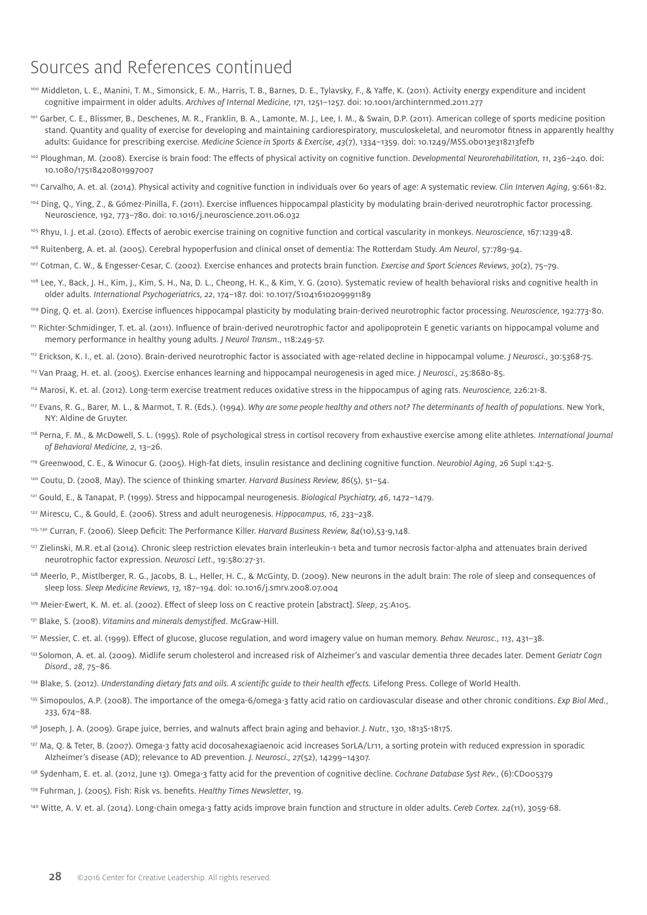### Sources and References continued

- 100 Middleton, L. E., Manini, T. M., Simonsick, E. M., Harris, T. B., Barnes, D. E., Tylavsky, F., & Yaffe, K. (2011). Activity energy expenditure and incident cognitive impairment in older adults. *Archives of Internal Medicine, 171*, 1251–1257. doi: 10.1001/archinternmed.2011.277
- 101 Garber, C. E., Blissmer, B., Deschenes, M. R., Franklin, B. A., Lamonte, M. J., Lee, I. M., & Swain, D.P. (2011). American college of sports medicine position stand. Quantity and quality of exercise for developing and maintaining cardiorespiratory, musculoskeletal, and neuromotor fitness in apparently healthy adults: Guidance for prescribing exercise. *Medicine Science in Sports* & *Exercise, 43*(7), 1334–1359. doi: 10.1249/MSS.0b013e318213fefb
- <sup>102</sup> Ploughman, M. (2008). Exercise is brain food: The effects of physical activity on cognitive function. *Developmental Neurorehabilitation*, 11, 236-240. doi: 10.1080/17518420801997007
- 103 Carvalho, A. et. al. (2014). Physical activity and cognitive function in individuals over 60 years of age: A systematic review. *Clin Interven Aging*, 9:661-82.
- 104 Ding, Q., Ying, Z., & Gómez-Pinilla, F. (2011). Exercise influences hippocampal plasticity by modulating brain-derived neurotrophic factor processing. Neuroscience, 192, 773–780. doi: 10.1016/j.neuroscience.2011.06.032
- 105 Rhyu, I. J. et.al. (2010). Effects of aerobic exercise training on cognitive function and cortical vascularity in monkeys. *Neuroscience*, 167:1239-48.
- 106 Ruitenberg, A. et. al. (2005). Cerebral hypoperfusion and clinical onset of dementia: The Rotterdam Study. *Am Neurol*, 57:789-94.
- 107 Cotman, C. W., & Engesser-Cesar, C. (2002). Exercise enhances and protects brain function. *Exercise and Sport Sciences Reviews, 30*(2), 75–79.
- <sup>108</sup> Lee, Y., Back, J. H., Kim, J., Kim, S. H., Na, D. L., Cheong, H. K., & Kim, Y. G. (2010). Systematic review of health behavioral risks and cognitive health in older adults. *International Psychogeriatrics, 22*, 174–187. doi: 10.1017/S1041610209991189
- 109 Ding, Q. et. al. (2011). Exercise influences hippocampal plasticity by modulating brain-derived neurotrophic factor processing. *Neuroscience,* 192:773-80.
- 111 Richter-Schmidinger, T. et. al. (2011). Influence of brain-derived neurotrophic factor and apolipoprotein E genetic variants on hippocampal volume and memory performance in healthy young adults. *J Neurol Transm*., 118:249-57.
- 112 Erickson, K. I., et. al. (2010). Brain-derived neurotrophic factor is associated with age-related decline in hippocampal volume. *J Neurosci.,* 30:5368-75.
- 113 Van Praag, H. et. al. (2005). Exercise enhances learning and hippocampal neurogenesis in aged mice. *J Neurosci.,* 25:8680-85.
- 114 Marosi, K. et. al. (2012). Long-term exercise treatment reduces oxidative stress in the hippocampus of aging rats. *Neuroscience,* 226:21-8.
- 117 Evans, R. G., Barer, M. L., & Marmot, T. R. (Eds.). (1994). *Why are some people healthy and others not? The determinants of health of populations.* New York, NY: Aldine de Gruyter.
- 118 Perna, F. M., & McDowell, S. L. (1995). Role of psychological stress in cortisol recovery from exhaustive exercise among elite athletes. *International Journal of Behavioral Medicine, 2*, 13–26.
- 119 Greenwood, C. E., & Winocur G. (2005). High-fat diets, insulin resistance and declining cognitive function. *Neurobiol Aging*, 26 Supl 1:42-5.
- 120 Coutu, D. (2008, May). The science of thinking smarter. *Harvard Business Review, 86*(5), 51–54.
- 121 Gould, E., & Tanapat, P. (1999). Stress and hippocampal neurogenesis. *Biological Psychiatry, 46*, 1472–1479.
- 122 Mirescu, C., & Gould, E. (2006). Stress and adult neurogenesis. *Hippocampus, 16*, 233–238.
- 125, 130 Curran, F. (2006). Sleep Deficit: The Performance Killer. *Harvard Business Review, 84*(10),53-9,148.
- <sup>127</sup> Zielinski, M.R. et.al (2014). Chronic sleep restriction elevates brain interleukin-1 beta and tumor necrosis factor-alpha and attenuates brain derived neurotrophic factor expression. *Neurosci Lett.,* 19:580:27-31.
- 128 Meerlo, P., Mistlberger, R. G., Jacobs, B. L., Heller, H. C., & McGinty, D. (2009). New neurons in the adult brain: The role of sleep and consequences of sleep loss. *Sleep Medicine Reviews, 13,* 187–194. doi: 10.1016/j.smrv.2008.07.004
- 129 Meier-Ewert, K. M. et. al. (2002). Effect of sleep loss on C reactive protein [abstract]. *Sleep*, 25:A105.
- 131 Blake, S. (2008). *Vitamins and minerals demystified*. McGraw-Hill.
- 132 Messier, C. et. al. (1999). Effect of glucose, glucose regulation, and word imagery value on human memory. *Behav. Neurosc., 113*, 431–38.
- 133 Solomon, A. et. al. (2009). Midlife serum cholesterol and increased risk of Alzheimer's and vascular dementia three decades later. Dement *Geriatr Cogn Disord., 28*, 75–86.
- <sup>134</sup> Blake, S. (2012). *Understanding dietary fats and oils. A scientific guide to their health effects. Lifelong Press. College of World Health.*
- <sup>135</sup> Simopoulos, A.P. (2008). The importance of the omega-6/omega-3 fatty acid ratio on cardiovascular disease and other chronic conditions. *Exp Biol Med.*, 233, 674–88.
- 136 Joseph, J. A. (2009). Grape juice, berries, and walnuts affect brain aging and behavior. *J. Nutr.*, 130, 1813S-1817S.
- 137 Ma, Q. & Teter, B. (2007). Omega-3 fatty acid docosahexagiaenoic acid increases SorLA/Lr11, a sorting protein with reduced expression in sporadic Alzheimer's disease (AD); relevance to AD prevention. *J. Neurosci., 27*(52), 14299–14307.
- 138 Sydenham, E. et. al. (2012, June 13). Omega-3 fatty acid for the prevention of cognitive decline. *Cochrane Database Syst Rev.*, (6):CD005379
- 139 Fuhrman, J. (2005). Fish: Risk vs. benefits. *Healthy Times Newsletter*, 19.
- 140 [Witte, A. V. et. al. \(2014\). Long-chain omega-3 fatty acids improve brain function and structure in older adults.](http://www.ncbi.nlm.nih.gov/pubmed/23796946) *Cereb Cortex. 24*(11), 3059-68.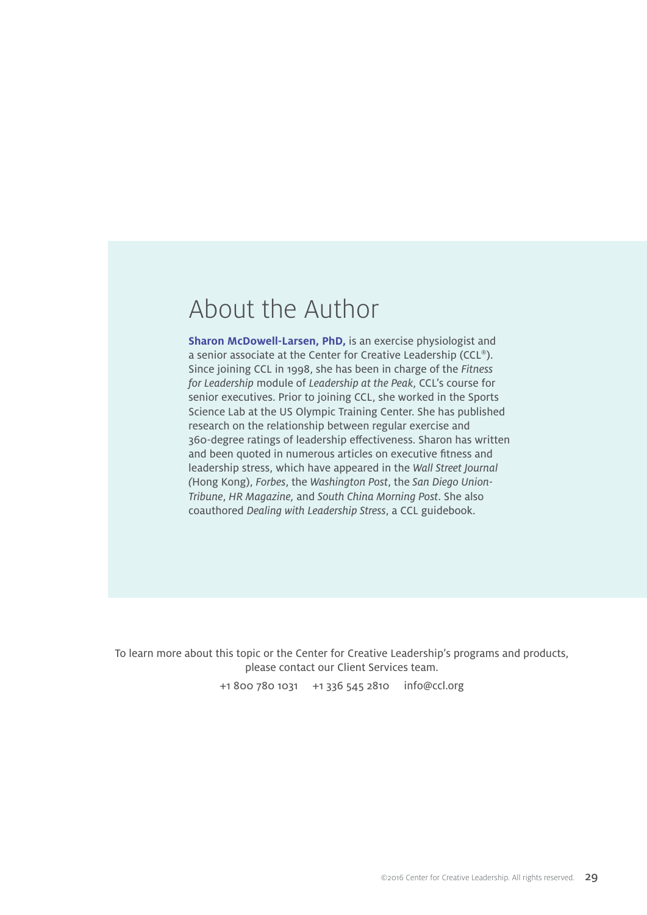### About the Author

**Sharon McDowell-Larsen, PhD,** is an exercise physiologist and a senior associate at the Center for Creative Leadership (CCL®). Since joining CCL in 1998, she has been in charge of the *Fitness for Leadership* module of *Leadership at the Peak*, CCL's course for senior executives. Prior to joining CCL, she worked in the Sports Science Lab at the US Olympic Training Center. She has published research on the relationship between regular exercise and 360-degree ratings of leadership effectiveness. Sharon has written and been quoted in numerous articles on executive fitness and leadership stress, which have appeared in the *Wall Street Journal (*Hong Kong), *Forbes*, the *Washington Post*, the *San Diego Union-Tribune*, *HR Magazine,* and *South China Morning Post*. She also coauthored *Dealing with Leadership Stress*, a CCL guidebook.

To learn more about this topic or the Center for Creative Leadership's programs and products, please contact our Client Services team.

+1 800 780 1031 +1 336 545 2810 [info@ccl.org](mailto:info@ccl.org)